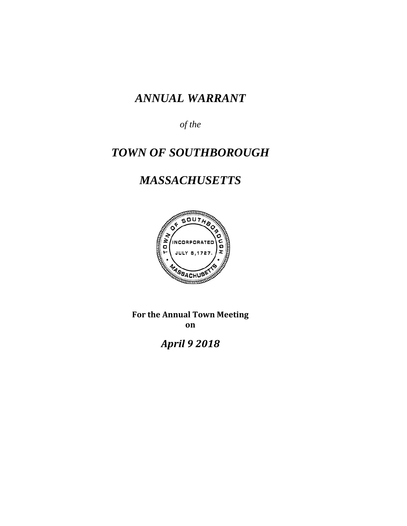# *ANNUAL WARRANT*

*of the*

# *TOWN OF SOUTHBOROUGH*

# *MASSACHUSETTS*



**For the Annual Town Meeting on**

*April 9 2018*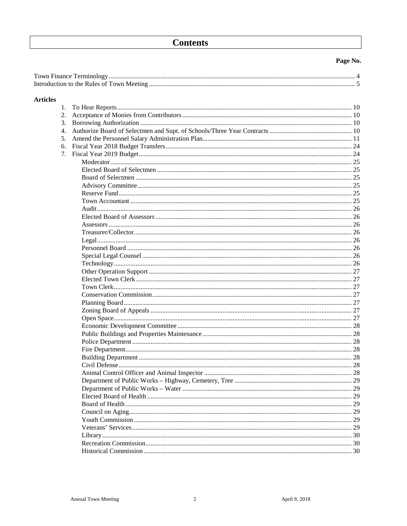## **Contents**

#### Page No.

| <b>Articles</b> |               |    |
|-----------------|---------------|----|
| 1.              |               |    |
| 2.              |               |    |
| 3.              |               |    |
| 4.              |               |    |
| 5.              |               |    |
| 6.              |               |    |
| 7.              |               |    |
|                 |               |    |
|                 |               |    |
|                 |               |    |
|                 |               |    |
|                 |               |    |
|                 |               |    |
|                 |               |    |
|                 |               |    |
|                 |               |    |
|                 |               |    |
|                 |               |    |
|                 |               |    |
|                 |               |    |
|                 |               |    |
|                 |               |    |
|                 |               |    |
|                 |               |    |
|                 |               |    |
|                 |               |    |
|                 |               |    |
|                 |               |    |
|                 |               |    |
|                 |               |    |
|                 |               |    |
|                 |               |    |
|                 |               |    |
|                 | Civil Defense | 28 |
|                 |               |    |
|                 |               |    |
|                 |               |    |
|                 |               |    |
|                 |               |    |
|                 |               |    |
|                 |               |    |
|                 |               |    |
|                 |               |    |
|                 |               |    |
|                 |               |    |

 $\overline{2}$ 

April 9, 2018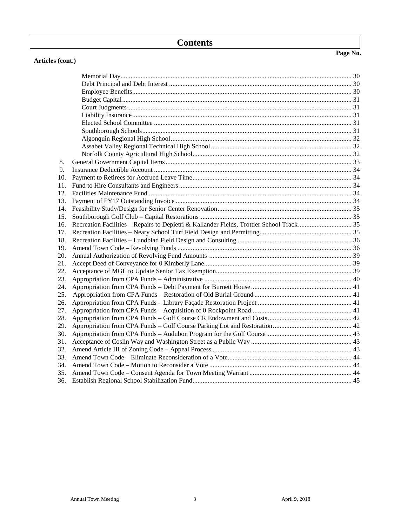### **Contents**

Memorial Day.......................................................................................................................................... 30 Debt Principal and Debt Interest ............................................................................................................. 30 Employee Benefits................................................................................................................................... 30

#### **Articles (cont.)**

| 8.  |  |
|-----|--|
| 9.  |  |
| 10. |  |
| 11. |  |
| 12. |  |
| 13. |  |
| 14. |  |
| 15. |  |
| 16. |  |
| 17. |  |
| 18. |  |
| 19. |  |
| 20. |  |
| 21. |  |
| 22. |  |
| 23. |  |
| 24. |  |
| 25. |  |
| 26. |  |
| 27. |  |
| 28. |  |
| 29. |  |
| 30. |  |
| 31. |  |
| 32. |  |
| 33. |  |
| 34. |  |
| 35. |  |
| 36. |  |
|     |  |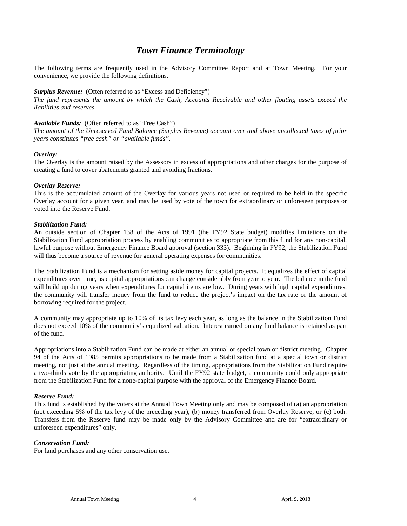### *Town Finance Terminology*

The following terms are frequently used in the Advisory Committee Report and at Town Meeting. For your convenience, we provide the following definitions.

#### *Surplus Revenue:* (Often referred to as "Excess and Deficiency")

*The fund represents the amount by which the Cash, Accounts Receivable and other floating assets exceed the liabilities and reserves.*

#### *Available Funds:* (Often referred to as "Free Cash")

*The amount of the Unreserved Fund Balance (Surplus Revenue) account over and above uncollected taxes of prior years constitutes "free cash" or "available funds".*

#### *Overlay:*

The Overlay is the amount raised by the Assessors in excess of appropriations and other charges for the purpose of creating a fund to cover abatements granted and avoiding fractions.

#### *Overlay Reserve:*

This is the accumulated amount of the Overlay for various years not used or required to be held in the specific Overlay account for a given year, and may be used by vote of the town for extraordinary or unforeseen purposes or voted into the Reserve Fund.

#### *Stabilization Fund:*

An outside section of Chapter 138 of the Acts of 1991 (the FY92 State budget) modifies limitations on the Stabilization Fund appropriation process by enabling communities to appropriate from this fund for any non-capital, lawful purpose without Emergency Finance Board approval (section 333). Beginning in FY92, the Stabilization Fund will thus become a source of revenue for general operating expenses for communities.

The Stabilization Fund is a mechanism for setting aside money for capital projects. It equalizes the effect of capital expenditures over time, as capital appropriations can change considerably from year to year. The balance in the fund will build up during years when expenditures for capital items are low. During years with high capital expenditures, the community will transfer money from the fund to reduce the project's impact on the tax rate or the amount of borrowing required for the project.

A community may appropriate up to 10% of its tax levy each year, as long as the balance in the Stabilization Fund does not exceed 10% of the community's equalized valuation. Interest earned on any fund balance is retained as part of the fund.

Appropriations into a Stabilization Fund can be made at either an annual or special town or district meeting. Chapter 94 of the Acts of 1985 permits appropriations to be made from a Stabilization fund at a special town or district meeting, not just at the annual meeting. Regardless of the timing, appropriations from the Stabilization Fund require a two-thirds vote by the appropriating authority. Until the FY92 state budget, a community could only appropriate from the Stabilization Fund for a none-capital purpose with the approval of the Emergency Finance Board.

#### *Reserve Fund:*

This fund is established by the voters at the Annual Town Meeting only and may be composed of (a) an appropriation (not exceeding 5% of the tax levy of the preceding year), (b) money transferred from Overlay Reserve, or (c) both. Transfers from the Reserve fund may be made only by the Advisory Committee and are for "extraordinary or unforeseen expenditures" only.

#### *Conservation Fund:*

For land purchases and any other conservation use.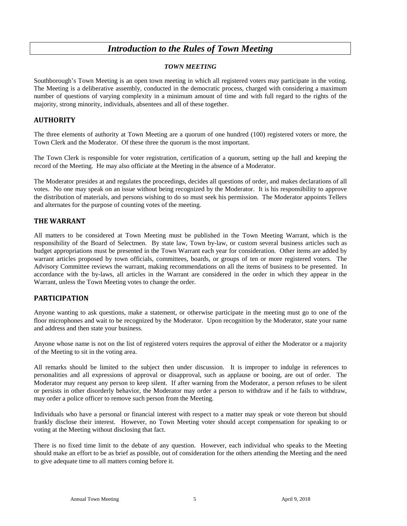### *Introduction to the Rules of Town Meeting*

#### *TOWN MEETING*

Southborough's Town Meeting is an open town meeting in which all registered voters may participate in the voting. The Meeting is a deliberative assembly, conducted in the democratic process, charged with considering a maximum number of questions of varying complexity in a minimum amount of time and with full regard to the rights of the majority, strong minority, individuals, absentees and all of these together.

#### **AUTHORITY**

The three elements of authority at Town Meeting are a quorum of one hundred (100) registered voters or more, the Town Clerk and the Moderator. Of these three the quorum is the most important.

The Town Clerk is responsible for voter registration, certification of a quorum, setting up the hall and keeping the record of the Meeting. He may also officiate at the Meeting in the absence of a Moderator.

The Moderator presides at and regulates the proceedings, decides all questions of order, and makes declarations of all votes. No one may speak on an issue without being recognized by the Moderator. It is his responsibility to approve the distribution of materials, and persons wishing to do so must seek his permission. The Moderator appoints Tellers and alternates for the purpose of counting votes of the meeting.

#### **THE WARRANT**

All matters to be considered at Town Meeting must be published in the Town Meeting Warrant, which is the responsibility of the Board of Selectmen. By state law, Town by-law, or custom several business articles such as budget appropriations must be presented in the Town Warrant each year for consideration. Other items are added by warrant articles proposed by town officials, committees, boards, or groups of ten or more registered voters. The Advisory Committee reviews the warrant, making recommendations on all the items of business to be presented. In accordance with the by-laws, all articles in the Warrant are considered in the order in which they appear in the Warrant, unless the Town Meeting votes to change the order.

#### **PARTICIPATION**

Anyone wanting to ask questions, make a statement, or otherwise participate in the meeting must go to one of the floor microphones and wait to be recognized by the Moderator. Upon recognition by the Moderator, state your name and address and then state your business.

Anyone whose name is not on the list of registered voters requires the approval of either the Moderator or a majority of the Meeting to sit in the voting area.

All remarks should be limited to the subject then under discussion. It is improper to indulge in references to personalities and all expressions of approval or disapproval, such as applause or booing, are out of order. The Moderator may request any person to keep silent. If after warning from the Moderator, a person refuses to be silent or persists in other disorderly behavior, the Moderator may order a person to withdraw and if he fails to withdraw, may order a police officer to remove such person from the Meeting.

Individuals who have a personal or financial interest with respect to a matter may speak or vote thereon but should frankly disclose their interest. However, no Town Meeting voter should accept compensation for speaking to or voting at the Meeting without disclosing that fact.

There is no fixed time limit to the debate of any question. However, each individual who speaks to the Meeting should make an effort to be as brief as possible, out of consideration for the others attending the Meeting and the need to give adequate time to all matters coming before it.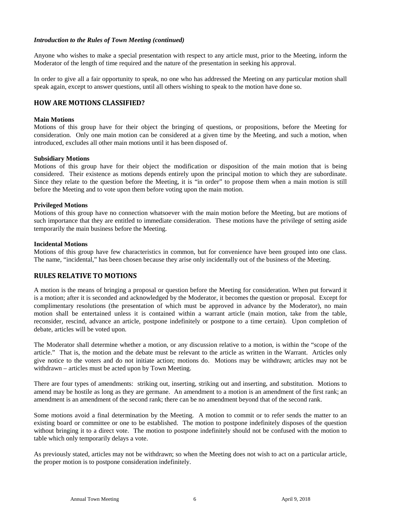Anyone who wishes to make a special presentation with respect to any article must, prior to the Meeting, inform the Moderator of the length of time required and the nature of the presentation in seeking his approval.

In order to give all a fair opportunity to speak, no one who has addressed the Meeting on any particular motion shall speak again, except to answer questions, until all others wishing to speak to the motion have done so.

#### **HOW ARE MOTIONS CLASSIFIED?**

#### **Main Motions**

Motions of this group have for their object the bringing of questions, or propositions, before the Meeting for consideration. Only one main motion can be considered at a given time by the Meeting, and such a motion, when introduced, excludes all other main motions until it has been disposed of.

#### **Subsidiary Motions**

Motions of this group have for their object the modification or disposition of the main motion that is being considered. Their existence as motions depends entirely upon the principal motion to which they are subordinate. Since they relate to the question before the Meeting, it is "in order" to propose them when a main motion is still before the Meeting and to vote upon them before voting upon the main motion.

#### **Privileged Motions**

Motions of this group have no connection whatsoever with the main motion before the Meeting, but are motions of such importance that they are entitled to immediate consideration. These motions have the privilege of setting aside temporarily the main business before the Meeting.

#### **Incidental Motions**

Motions of this group have few characteristics in common, but for convenience have been grouped into one class. The name, "incidental," has been chosen because they arise only incidentally out of the business of the Meeting.

#### **RULES RELATIVE TO MOTIONS**

A motion is the means of bringing a proposal or question before the Meeting for consideration. When put forward it is a motion; after it is seconded and acknowledged by the Moderator, it becomes the question or proposal. Except for complimentary resolutions (the presentation of which must be approved in advance by the Moderator), no main motion shall be entertained unless it is contained within a warrant article (main motion, take from the table, reconsider, rescind, advance an article, postpone indefinitely or postpone to a time certain). Upon completion of debate, articles will be voted upon.

The Moderator shall determine whether a motion, or any discussion relative to a motion, is within the "scope of the article." That is, the motion and the debate must be relevant to the article as written in the Warrant. Articles only give notice to the voters and do not initiate action; motions do. Motions may be withdrawn; articles may not be withdrawn – articles must be acted upon by Town Meeting.

There are four types of amendments: striking out, inserting, striking out and inserting, and substitution. Motions to amend may be hostile as long as they are germane. An amendment to a motion is an amendment of the first rank; an amendment is an amendment of the second rank; there can be no amendment beyond that of the second rank.

Some motions avoid a final determination by the Meeting. A motion to commit or to refer sends the matter to an existing board or committee or one to be established. The motion to postpone indefinitely disposes of the question without bringing it to a direct vote. The motion to postpone indefinitely should not be confused with the motion to table which only temporarily delays a vote.

As previously stated, articles may not be withdrawn; so when the Meeting does not wish to act on a particular article, the proper motion is to postpone consideration indefinitely.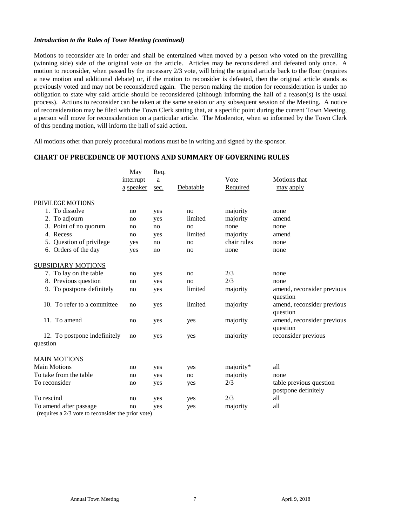Motions to reconsider are in order and shall be entertained when moved by a person who voted on the prevailing (winning side) side of the original vote on the article. Articles may be reconsidered and defeated only once. A motion to reconsider, when passed by the necessary 2/3 vote, will bring the original article back to the floor (requires a new motion and additional debate) or, if the motion to reconsider is defeated, then the original article stands as previously voted and may not be reconsidered again. The person making the motion for reconsideration is under no obligation to state why said article should be reconsidered (although informing the hall of a reason(s) is the usual process). Actions to reconsider can be taken at the same session or any subsequent session of the Meeting. A notice of reconsideration may be filed with the Town Clerk stating that, at a specific point during the current Town Meeting, a person will move for reconsideration on a particular article. The Moderator, when so informed by the Town Clerk of this pending motion, will inform the hall of said action.

All motions other than purely procedural motions must be in writing and signed by the sponsor.

#### **CHART OF PRECEDENCE OF MOTIONS AND SUMMARY OF GOVERNING RULES**

|                                                                              | May<br>interrupt<br>a speaker | Req.<br>a<br>sec. | Debatable | Vote<br>Required | Motions that<br><u>may</u> apply               |
|------------------------------------------------------------------------------|-------------------------------|-------------------|-----------|------------------|------------------------------------------------|
| PRIVILEGE MOTIONS                                                            |                               |                   |           |                  |                                                |
| 1. To dissolve                                                               | no                            | yes               | no        | majority         | none                                           |
| 2. To adjourn                                                                | no                            | yes               | limited   | majority         | amend                                          |
| 3. Point of no quorum                                                        | no                            | no                | no        | none             | none                                           |
| 4. Recess                                                                    | no                            | yes               | limited   | majority         | amend                                          |
| 5. Question of privilege                                                     | yes                           | no                | no        | chair rules      | none                                           |
| 6. Orders of the day                                                         | yes                           | no                | no        | none             | none                                           |
| <b>SUBSIDIARY MOTIONS</b>                                                    |                               |                   |           |                  |                                                |
| 7. To lay on the table                                                       | no                            | yes               | no        | 2/3              | none                                           |
| 8. Previous question                                                         | no                            | yes               | no        | 2/3              | none                                           |
| 9. To postpone definitely                                                    | no                            | yes               | limited   | majority         | amend, reconsider previous<br>question         |
| 10. To refer to a committee                                                  | no                            | yes               | limited   | majority         | amend, reconsider previous<br>question         |
| 11. To amend                                                                 | no                            | yes               | yes       | majority         | amend, reconsider previous<br>question         |
| 12. To postpone indefinitely                                                 | no                            | yes               | yes       | majority         | reconsider previous                            |
| question                                                                     |                               |                   |           |                  |                                                |
| <b>MAIN MOTIONS</b>                                                          |                               |                   |           |                  |                                                |
| <b>Main Motions</b>                                                          | no                            | yes               | yes       | majority*        | all                                            |
| To take from the table                                                       | no                            | yes               | no        | majority         | none                                           |
| To reconsider                                                                | no                            | yes               | yes       | 2/3              | table previous question<br>postpone definitely |
| To rescind                                                                   | no                            | yes               | yes       | 2/3              | all                                            |
| To amend after passage<br>(requires a 2/3 vote to reconsider the prior vote) | no                            | yes               | yes       | majority         | all                                            |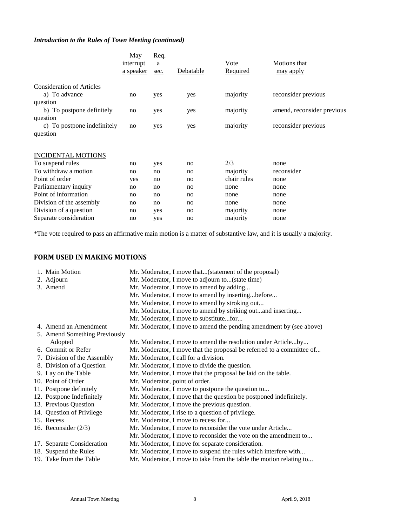|                                  | May<br>interrupt<br>a speaker | Req.<br>a<br>sec. | Debatable | Vote<br><b>Required</b> | Motions that<br><u>may</u> apply |
|----------------------------------|-------------------------------|-------------------|-----------|-------------------------|----------------------------------|
| <b>Consideration of Articles</b> |                               |                   |           |                         |                                  |
| a) To advance                    | no                            | yes               | yes       | majority                | reconsider previous              |
| question                         |                               |                   |           |                         |                                  |
| b) To postpone definitely        | no                            | yes               | yes       | majority                | amend, reconsider previous       |
| question                         |                               |                   |           |                         |                                  |
| c) To postpone indefinitely      | no                            | yes               | yes       | majority                | reconsider previous              |
| question                         |                               |                   |           |                         |                                  |
| <b>INCIDENTAL MOTIONS</b>        |                               |                   |           |                         |                                  |
| To suspend rules                 | no                            | yes               | no        | 2/3                     | none                             |
| To withdraw a motion             | no                            | no                | no        | majority                | reconsider                       |
| Point of order                   | yes                           | no                | no        | chair rules             | none                             |
| Parliamentary inquiry            | no                            | no                | no        | none                    | none                             |
| Point of information             | no                            | no                | no        | none                    | none                             |
| Division of the assembly         | no                            | no                | no        | none                    | none                             |
| Division of a question           | no                            | yes               | no        | majority                | none                             |
| Separate consideration           | no                            | yes               | no        | majority                | none                             |

\*The vote required to pass an affirmative main motion is a matter of substantive law, and it is usually a majority.

#### **FORM USED IN MAKING MOTIONS**

| 1. Main Motion                | Mr. Moderator, I move that(statement of the proposal)                 |
|-------------------------------|-----------------------------------------------------------------------|
| 2. Adjourn                    | Mr. Moderator, I move to adjourn to(state time)                       |
| 3. Amend                      | Mr. Moderator, I move to amend by adding                              |
|                               | Mr. Moderator, I move to amend by insertingbefore                     |
|                               | Mr. Moderator, I move to amend by stroking out                        |
|                               | Mr. Moderator, I move to amend by striking outand inserting           |
|                               | Mr. Moderator, I move to substitutefor                                |
| 4. Amend an Amendment         | Mr. Moderator, I move to amend the pending amendment by (see above)   |
| 5. Amend Something Previously |                                                                       |
| Adopted                       | Mr. Moderator, I move to amend the resolution under Articleby         |
| 6. Commit or Refer            | Mr. Moderator, I move that the proposal be referred to a committee of |
| 7. Division of the Assembly   | Mr. Moderator, I call for a division.                                 |
| 8. Division of a Question     | Mr. Moderator, I move to divide the question.                         |
| 9. Lay on the Table           | Mr. Moderator, I move that the proposal be laid on the table.         |
| 10. Point of Order            | Mr. Moderator, point of order.                                        |
| 11. Postpone definitely       | Mr. Moderator, I move to postpone the question to                     |
| 12. Postpone Indefinitely     | Mr. Moderator, I move that the question be postponed indefinitely.    |
| 13. Previous Question         | Mr. Moderator, I move the previous question.                          |
| 14. Question of Privilege     | Mr. Moderator, I rise to a question of privilege.                     |
| 15. Recess                    | Mr. Moderator, I move to recess for                                   |
| 16. Reconsider $(2/3)$        | Mr. Moderator, I move to reconsider the vote under Article            |
|                               | Mr. Moderator, I move to reconsider the vote on the amendment to      |
| 17. Separate Consideration    | Mr. Moderator, I move for separate consideration.                     |
| 18. Suspend the Rules         | Mr. Moderator, I move to suspend the rules which interfere with       |
| 19. Take from the Table       | Mr. Moderator, I move to take from the table the motion relating to   |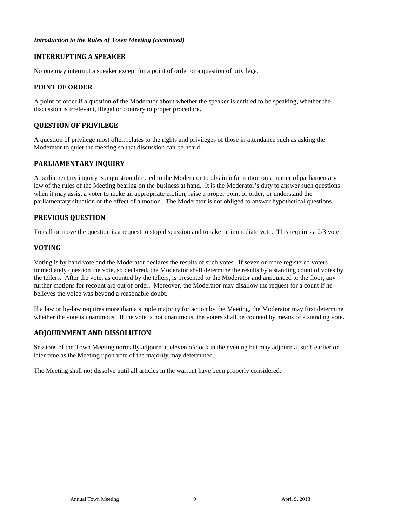#### **INTERRUPTING A SPEAKER**

No one may interrupt a speaker except for a point of order or a question of privilege.

#### **POINT OF ORDER**

A point of order if a question of the Moderator about whether the speaker is entitled to be speaking, whether the discussion is irrelevant, illegal or contrary to proper procedure.

#### **QUESTION OF PRIVILEGE**

A question of privilege most often relates to the rights and privileges of those in attendance such as asking the Moderator to quiet the meeting so that discussion can be heard.

#### **PARLIAMENTARY INQUIRY**

A parliamentary inquiry is a question directed to the Moderator to obtain information on a matter of parliamentary law of the rules of the Meeting bearing on the business at hand. It is the Moderator's duty to answer such questions when it may assist a voter to make an appropriate motion, raise a proper point of order, or understand the parliamentary situation or the effect of a motion. The Moderator is not obliged to answer hypothetical questions.

#### **PREVIOUS QUESTION**

To call or move the question is a request to stop discussion and to take an immediate vote. This requires a 2/3 vote.

#### **VOTING**

Voting is by hand vote and the Moderator declares the results of such votes. If seven or more registered voters immediately question the vote, so declared, the Moderator shall determine the results by a standing count of votes by the tellers. After the vote, as counted by the tellers, is presented to the Moderator and announced to the floor, any further motions for recount are out of order. Moreover, the Moderator may disallow the request for a count if he believes the voice was beyond a reasonable doubt.

If a law or by-law requires more than a simple majority for action by the Meeting, the Moderator may first determine whether the vote is unanimous. If the vote is not unanimous, the voters shall be counted by means of a standing vote.

#### **ADJOURNMENT AND DISSOLUTION**

Sessions of the Town Meeting normally adjourn at eleven o'clock in the evening but may adjourn at such earlier or later time as the Meeting upon vote of the majority may determined.

The Meeting shall not dissolve until all articles in the warrant have been properly considered.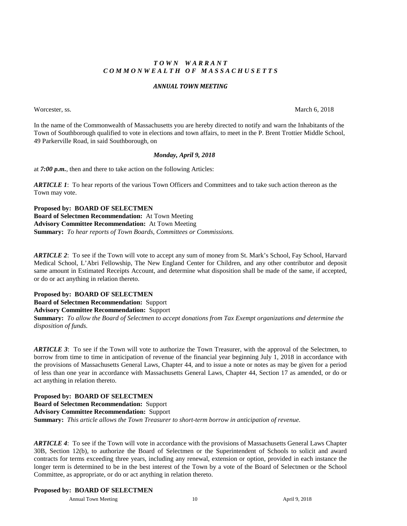#### *T O W N W A R R A N T C O M M O N W E A L T H O F M A S S A C H U S E T T S*

#### *ANNUAL TOWN MEETING*

Worcester, ss. March 6, 2018

In the name of the Commonwealth of Massachusetts you are hereby directed to notify and warn the Inhabitants of the Town of Southborough qualified to vote in elections and town affairs, to meet in the P. Brent Trottier Middle School, 49 Parkerville Road, in said Southborough, on

#### *Monday, April 9, 2018*

at *7:00 p.m.*, then and there to take action on the following Articles:

*ARTICLE 1*: To hear reports of the various Town Officers and Committees and to take such action thereon as the Town may vote.

**Proposed by: BOARD OF SELECTMEN Board of Selectmen Recommendation:** At Town Meeting **Advisory Committee Recommendation:** At Town Meeting **Summary:** *To hear reports of Town Boards, Committees or Commissions.*

*ARTICLE 2*:To see if the Town will vote to accept any sum of money from St. Mark's School, Fay School, Harvard Medical School, L'Abri Fellowship, The New England Center for Children, and any other contributor and deposit same amount in Estimated Receipts Account, and determine what disposition shall be made of the same, if accepted, or do or act anything in relation thereto.

**Proposed by: BOARD OF SELECTMEN**

**Board of Selectmen Recommendation:** Support **Advisory Committee Recommendation:** Support

**Summary:** *To allow the Board of Selectmen to accept donations from Tax Exempt organizations and determine the disposition of funds.*

*ARTICLE 3*: To see if the Town will vote to authorize the Town Treasurer, with the approval of the Selectmen, to borrow from time to time in anticipation of revenue of the financial year beginning July 1, 2018 in accordance with the provisions of Massachusetts General Laws, Chapter 44, and to issue a note or notes as may be given for a period of less than one year in accordance with Massachusetts General Laws, Chapter 44, Section 17 as amended, or do or act anything in relation thereto.

**Proposed by: BOARD OF SELECTMEN Board of Selectmen Recommendation:** Support **Advisory Committee Recommendation:** Support **Summary:** *This article allows the Town Treasurer to short-term borrow in anticipation of revenue.*

*ARTICLE 4*: To see if the Town will vote in accordance with the provisions of Massachusetts General Laws Chapter 30B, Section 12(b), to authorize the Board of Selectmen or the Superintendent of Schools to solicit and award contracts for terms exceeding three years, including any renewal, extension or option, provided in each instance the longer term is determined to be in the best interest of the Town by a vote of the Board of Selectmen or the School Committee, as appropriate, or do or act anything in relation thereto.

#### **Proposed by: BOARD OF SELECTMEN**

Annual Town Meeting 10 10 and 10 April 9, 2018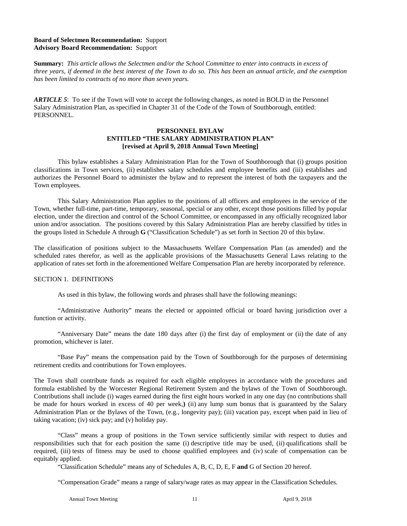#### **Board of Selectmen Recommendation:** Support **Advisory Board Recommendation:** Support

**Summary:** *This article allows the Selectmen and/or the School Committee to enter into contracts in excess of three years, if deemed in the best interest of the Town to do so. This has been an annual article, and the exemption has been limited to contracts of no more than seven years.*

*ARTICLE 5*: To see if the Town will vote to accept the following changes, as noted in BOLD in the Personnel Salary Administration Plan, as specified in Chapter 31 of the Code of the Town of Southborough, entitled: PERSONNEL.

#### **PERSONNEL BYLAW ENTITLED "THE SALARY ADMINISTRATION PLAN" [revised at April 9, 2018 Annual Town Meeting]**

This bylaw establishes a Salary Administration Plan for the Town of Southborough that (i) groups position classifications in Town services, (ii) establishes salary schedules and employee benefits and (iii) establishes and authorizes the Personnel Board to administer the bylaw and to represent the interest of both the taxpayers and the Town employees.

This Salary Administration Plan applies to the positions of all officers and employees in the service of the Town, whether full-time, part-time, temporary, seasonal, special or any other, except those positions filled by popular election, under the direction and control of the School Committee, or encompassed in any officially recognized labor union and/or association. The positions covered by this Salary Administration Plan are hereby classified by titles in the groups listed in Schedule A through **G** ("Classification Schedule") as set forth in Section 20 of this bylaw.

The classification of positions subject to the Massachusetts Welfare Compensation Plan (as amended) and the scheduled rates therefor, as well as the applicable provisions of the Massachusetts General Laws relating to the application of rates set forth in the aforementioned Welfare Compensation Plan are hereby incorporated by reference.

#### SECTION 1. DEFINITIONS

As used in this bylaw, the following words and phrases shall have the following meanings:

"Administrative Authority" means the elected or appointed official or board having jurisdiction over a function or activity.

"Anniversary Date" means the date 180 days after (i) the first day of employment or (ii) the date of any promotion, whichever is later.

"Base Pay" means the compensation paid by the Town of Southborough for the purposes of determining retirement credits and contributions for Town employees.

The Town shall contribute funds as required for each eligible employees in accordance with the procedures and formula established by the Worcester Regional Retirement System and the bylaws of the Town of Southborough. Contributions shall include (i) wages earned during the first eight hours worked in any one day (no contributions shall be made for hours worked in excess of 40 per week,**)** (ii) any lump sum bonus that is guaranteed by the Salary Administration Plan or the Bylaws of the Town, (e.g., longevity pay); (iii) vacation pay, except when paid in lieu of taking vacation; (iv) sick pay; and (v) holiday pay.

"Class" means a group of positions in the Town service sufficiently similar with respect to duties and responsibilities such that for each position the same (i) descriptive title may be used, (ii) qualifications shall be required, (iii) tests of fitness may be used to choose qualified employees and (iv) scale of compensation can be equitably applied.

"Classification Schedule" means any of Schedules A, B, C, D, E, F **and** G of Section 20 hereof.

"Compensation Grade" means a range of salary/wage rates as may appear in the Classification Schedules.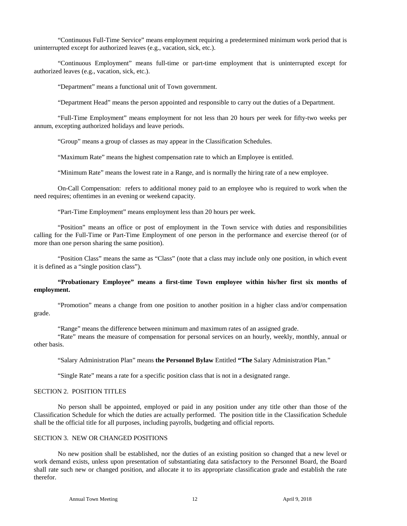"Continuous Full-Time Service" means employment requiring a predetermined minimum work period that is uninterrupted except for authorized leaves (e.g., vacation, sick, etc.).

"Continuous Employment" means full-time or part-time employment that is uninterrupted except for authorized leaves (e.g., vacation, sick, etc.).

"Department" means a functional unit of Town government.

"Department Head" means the person appointed and responsible to carry out the duties of a Department.

"Full-Time Employment" means employment for not less than 20 hours per week for fifty-two weeks per annum, excepting authorized holidays and leave periods.

"Group" means a group of classes as may appear in the Classification Schedules.

"Maximum Rate" means the highest compensation rate to which an Employee is entitled.

"Minimum Rate" means the lowest rate in a Range, and is normally the hiring rate of a new employee.

On-Call Compensation: refers to additional money paid to an employee who is required to work when the need requires; oftentimes in an evening or weekend capacity.

"Part-Time Employment" means employment less than 20 hours per week.

"Position" means an office or post of employment in the Town service with duties and responsibilities calling for the Full-Time or Part-Time Employment of one person in the performance and exercise thereof (or of more than one person sharing the same position).

"Position Class" means the same as "Class" (note that a class may include only one position, in which event it is defined as a "single position class").

#### **"Probationary Employee" means a first-time Town employee within his/her first six months of employment.**

"Promotion" means a change from one position to another position in a higher class and/or compensation grade.

"Range" means the difference between minimum and maximum rates of an assigned grade.

"Rate" means the measure of compensation for personal services on an hourly, weekly, monthly, annual or other basis.

"Salary Administration Plan" means **the Personnel Bylaw** Entitled **"The** Salary Administration Plan."

"Single Rate" means a rate for a specific position class that is not in a designated range.

#### SECTION 2. POSITION TITLES

No person shall be appointed, employed or paid in any position under any title other than those of the Classification Schedule for which the duties are actually performed. The position title in the Classification Schedule shall be the official title for all purposes, including payrolls, budgeting and official reports.

#### SECTION 3. NEW OR CHANGED POSITIONS

No new position shall be established, nor the duties of an existing position so changed that a new level or work demand exists, unless upon presentation of substantiating data satisfactory to the Personnel Board, the Board shall rate such new or changed position, and allocate it to its appropriate classification grade and establish the rate therefor.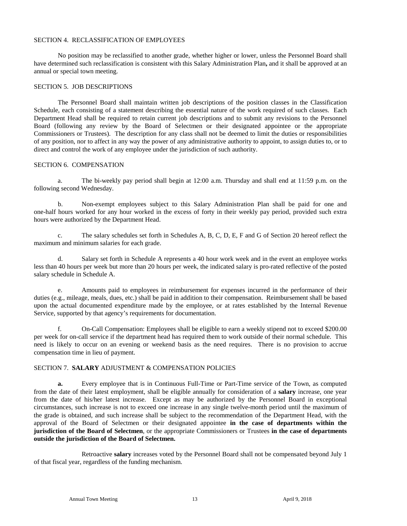#### SECTION 4. RECLASSIFICATION OF EMPLOYEES

No position may be reclassified to another grade, whether higher or lower, unless the Personnel Board shall have determined such reclassification is consistent with this Salary Administration Plan**,** and it shall be approved at an annual or special town meeting.

#### SECTION 5. JOB DESCRIPTIONS

The Personnel Board shall maintain written job descriptions of the position classes in the Classification Schedule, each consisting of a statement describing the essential nature of the work required of such classes. Each Department Head shall be required to retain current job descriptions and to submit any revisions to the Personnel Board (following any review by the Board of Selectmen or their designated appointee or the appropriate Commissioners or Trustees). The description for any class shall not be deemed to limit the duties or responsibilities of any position, nor to affect in any way the power of any administrative authority to appoint, to assign duties to, or to direct and control the work of any employee under the jurisdiction of such authority.

#### SECTION 6. COMPENSATION

a. The bi-weekly pay period shall begin at 12:00 a.m. Thursday and shall end at 11:59 p.m. on the following second Wednesday.

b. Non-exempt employees subject to this Salary Administration Plan shall be paid for one and one-half hours worked for any hour worked in the excess of forty in their weekly pay period, provided such extra hours were authorized by the Department Head.

c. The salary schedules set forth in Schedules A, B, C, D, E, F and G of Section 20 hereof reflect the maximum and minimum salaries for each grade.

d. Salary set forth in Schedule A represents a 40 hour work week and in the event an employee works less than 40 hours per week but more than 20 hours per week, the indicated salary is pro-rated reflective of the posted salary schedule in Schedule A.

e. Amounts paid to employees in reimbursement for expenses incurred in the performance of their duties (e.g., mileage, meals, dues, etc.) shall be paid in addition to their compensation. Reimbursement shall be based upon the actual documented expenditure made by the employee, or at rates established by the Internal Revenue Service, supported by that agency's requirements for documentation.

f. On-Call Compensation: Employees shall be eligible to earn a weekly stipend not to exceed \$200.00 per week for on-call service if the department head has required them to work outside of their normal schedule. This need is likely to occur on an evening or weekend basis as the need requires. There is no provision to accrue compensation time in lieu of payment.

#### SECTION 7. **SALARY** ADJUSTMENT & COMPENSATION POLICIES

**a.** Every employee that is in Continuous Full-Time or Part-Time service of the Town, as computed from the date of their latest employment, shall be eligible annually for consideration of a **salary** increase, one year from the date of his/her latest increase. Except as may be authorized by the Personnel Board in exceptional circumstances, such increase is not to exceed one increase in any single twelve-month period until the maximum of the grade is obtained, and such increase shall be subject to the recommendation of the Department Head, with the approval of the Board of Selectmen or their designated appointee **in the case of departments within the jurisdiction of the Board of Selectmen**, or the appropriate Commissioners or Trustees **in the case of departments outside the jurisdiction of the Board of Selectmen.** 

Retroactive **salary** increases voted by the Personnel Board shall not be compensated beyond July 1 of that fiscal year, regardless of the funding mechanism.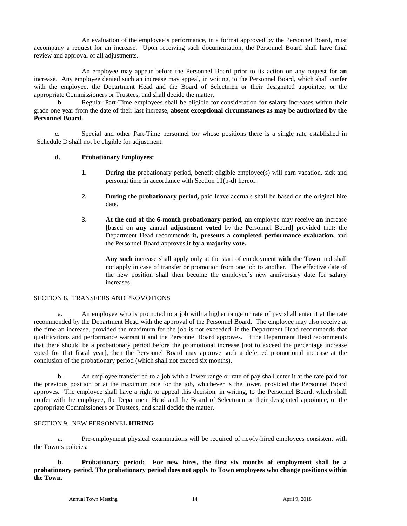An evaluation of the employee's performance, in a format approved by the Personnel Board, must accompany a request for an increase. Upon receiving such documentation, the Personnel Board shall have final review and approval of all adjustments.

An employee may appear before the Personnel Board prior to its action on any request for **an** increase. Any employee denied such an increase may appeal, in writing, to the Personnel Board, which shall confer with the employee, the Department Head and the Board of Selectmen or their designated appointee, or the appropriate Commissioners or Trustees, and shall decide the matter.

b. Regular Part-Time employees shall be eligible for consideration for **salary** increases within their grade one year from the date of their last increase, **absent exceptional circumstances as may be authorized by the Personnel Board.** 

c. Special and other Part-Time personnel for whose positions there is a single rate established in Schedule D shall not be eligible for adjustment.

#### **d. Probationary Employees:**

- **1.** During **the** probationary period, benefit eligible employee(s) will earn vacation, sick and personal time in accordance with Section 11(b**-d)** hereof.
- **2. During the probationary period,** paid leave accruals shall be based on the original hire date.
- **3. At the end of the 6-month probationary period, an** employee may receive **an** increase **[**based on **any** annual **adjustment voted** by the Personnel Board**]** provided that**:** the Department Head recommends **it, presents a completed performance evaluation,** and the Personnel Board approves **it by a majority vote.**

**Any such** increase shall apply only at the start of employment **with the Town** and shall not apply in case of transfer or promotion from one job to another.The effective date of the new position shall then become the employee's new anniversary date for **salary**  increases.

#### SECTION 8. TRANSFERS AND PROMOTIONS

a. An employee who is promoted to a job with a higher range or rate of pay shall enter it at the rate recommended by the Department Head with the approval of the Personnel Board. The employee may also receive at the time an increase, provided the maximum for the job is not exceeded, if the Department Head recommends that qualifications and performance warrant it and the Personnel Board approves. If the Department Head recommends that there should be a probationary period before the promotional increase [not to exceed the percentage increase voted for that fiscal year], then the Personnel Board may approve such a deferred promotional increase at the conclusion of the probationary period (which shall not exceed six months).

b. An employee transferred to a job with a lower range or rate of pay shall enter it at the rate paid for the previous position or at the maximum rate for the job, whichever is the lower, provided the Personnel Board approves. The employee shall have a right to appeal this decision, in writing, to the Personnel Board, which shall confer with the employee, the Department Head and the Board of Selectmen or their designated appointee, or the appropriate Commissioners or Trustees, and shall decide the matter.

#### SECTION 9. NEW PERSONNEL **HIRING**

a. Pre-employment physical examinations will be required of newly-hired employees consistent with the Town's policies.

**b. Probationary period: For new hires, the first six months of employment shall be a probationary period. The probationary period does not apply to Town employees who change positions within the Town.**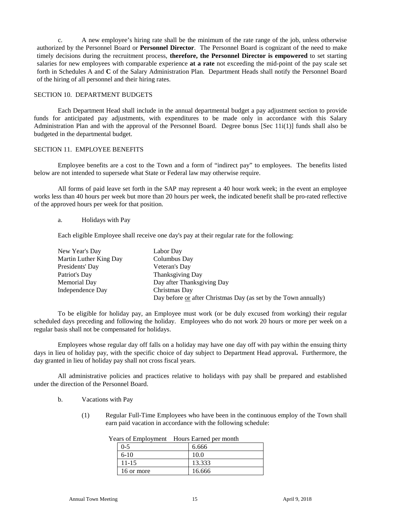c. A new employee's hiring rate shall be the minimum of the rate range of the job, unless otherwise authorized by the Personnel Board or **Personnel Director**. The Personnel Board is cognizant of the need to make timely decisions during the recruitment process, **therefore, the Personnel Director is empowered** to set starting salaries for new employees with comparable experience **at a rate** not exceeding the mid-point of the pay scale set forth in Schedules A and **C** of the Salary Administration Plan. Department Heads shall notify the Personnel Board of the hiring of all personnel and their hiring rates.

#### SECTION 10. DEPARTMENT BUDGETS

Each Department Head shall include in the annual departmental budget a pay adjustment section to provide funds for anticipated pay adjustments, with expenditures to be made only in accordance with this Salary Administration Plan and with the approval of the Personnel Board. Degree bonus [Sec 11i(1)] funds shall also be budgeted in the departmental budget.

#### SECTION 11. EMPLOYEE BENEFITS

Employee benefits are a cost to the Town and a form of "indirect pay" to employees. The benefits listed below are not intended to supersede what State or Federal law may otherwise require.

All forms of paid leave set forth in the SAP may represent a 40 hour work week; in the event an employee works less than 40 hours per week but more than 20 hours per week, the indicated benefit shall be pro-rated reflective of the approved hours per week for that position.

#### a. Holidays with Pay

Each eligible Employee shall receive one day's pay at their regular rate for the following:

| New Year's Day         | Labor Day                                                       |
|------------------------|-----------------------------------------------------------------|
| Martin Luther King Day | Columbus Day                                                    |
| Presidents' Day        | Veteran's Day                                                   |
| Patriot's Day          | <b>Thanksgiving Day</b>                                         |
| Memorial Day           | Day after Thanksgiving Day                                      |
| Independence Day       | Christmas Day                                                   |
|                        | Day before or after Christmas Day (as set by the Town annually) |

To be eligible for holiday pay, an Employee must work (or be duly excused from working) their regular scheduled days preceding and following the holiday. Employees who do not work 20 hours or more per week on a regular basis shall not be compensated for holidays.

Employees whose regular day off falls on a holiday may have one day off with pay within the ensuing thirty days in lieu of holiday pay, with the specific choice of day subject to Department Head approval**.** Furthermore, the day granted in lieu of holiday pay shall not cross fiscal years.

All administrative policies and practices relative to holidays with pay shall be prepared and established under the direction of the Personnel Board.

- b. Vacations with Pay
	- (1) Regular Full-Time Employees who have been in the continuous employ of the Town shall earn paid vacation in accordance with the following schedule:

| $\alpha$ s of employment $\alpha$ from $\alpha$ earlied bet month |            |        |
|-------------------------------------------------------------------|------------|--------|
|                                                                   | $0 - 5$    | 6.666  |
|                                                                   | $6-10$     | 10.0   |
|                                                                   | $11 - 15$  | 13.333 |
|                                                                   | 16 or more | 16.666 |

| Years of Employment Hours Earned per month |  |
|--------------------------------------------|--|
|                                            |  |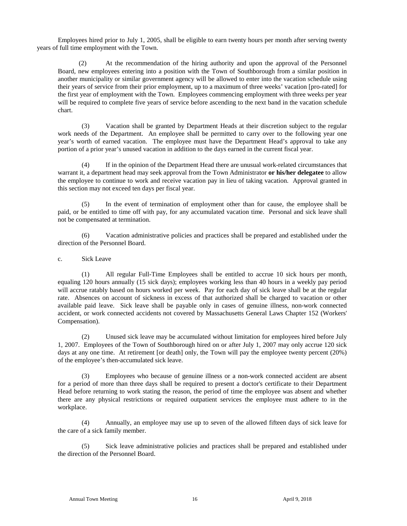Employees hired prior to July 1, 2005, shall be eligible to earn twenty hours per month after serving twenty years of full time employment with the Town.

(2) At the recommendation of the hiring authority and upon the approval of the Personnel Board, new employees entering into a position with the Town of Southborough from a similar position in another municipality or similar government agency will be allowed to enter into the vacation schedule using their years of service from their prior employment, up to a maximum of three weeks' vacation [pro-rated] for the first year of employment with the Town. Employees commencing employment with three weeks per year will be required to complete five years of service before ascending to the next band in the vacation schedule chart.

(3) Vacation shall be granted by Department Heads at their discretion subject to the regular work needs of the Department. An employee shall be permitted to carry over to the following year one year's worth of earned vacation. The employee must have the Department Head's approval to take any portion of a prior year's unused vacation in addition to the days earned in the current fiscal year.

(4) If in the opinion of the Department Head there are unusual work-related circumstances that warrant it, a department head may seek approval from the Town Administrator **or his/her delegatee** to allow the employee to continue to work and receive vacation pay in lieu of taking vacation. Approval granted in this section may not exceed ten days per fiscal year.

(5) In the event of termination of employment other than for cause, the employee shall be paid, or be entitled to time off with pay, for any accumulated vacation time. Personal and sick leave shall not be compensated at termination.

(6) Vacation administrative policies and practices shall be prepared and established under the direction of the Personnel Board.

#### c. Sick Leave

(1) All regular Full-Time Employees shall be entitled to accrue 10 sick hours per month, equaling 120 hours annually (15 sick days); employees working less than 40 hours in a weekly pay period will accrue ratably based on hours worked per week. Pay for each day of sick leave shall be at the regular rate. Absences on account of sickness in excess of that authorized shall be charged to vacation or other available paid leave. Sick leave shall be payable only in cases of genuine illness, non-work connected accident, or work connected accidents not covered by Massachusetts General Laws Chapter 152 (Workers' Compensation).

(2) Unused sick leave may be accumulated without limitation for employees hired before July 1, 2007. Employees of the Town of Southborough hired on or after July 1, 2007 may only accrue 120 sick days at any one time. At retirement [or death] only, the Town will pay the employee twenty percent (20%) of the employee's then-accumulated sick leave.

(3) Employees who because of genuine illness or a non-work connected accident are absent for a period of more than three days shall be required to present a doctor's certificate to their Department Head before returning to work stating the reason, the period of time the employee was absent and whether there are any physical restrictions or required outpatient services the employee must adhere to in the workplace.

(4) Annually, an employee may use up to seven of the allowed fifteen days of sick leave for the care of a sick family member.

(5) Sick leave administrative policies and practices shall be prepared and established under the direction of the Personnel Board.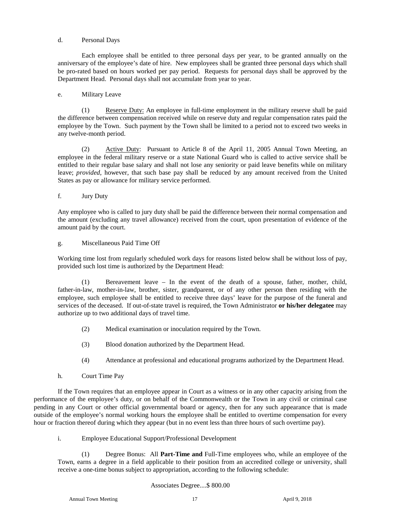#### d. Personal Days

 Each employee shall be entitled to three personal days per year, to be granted annually on the anniversary of the employee's date of hire. New employees shall be granted three personal days which shall be pro-rated based on hours worked per pay period. Requests for personal days shall be approved by the Department Head. Personal days shall not accumulate from year to year.

#### e. Military Leave

(1) Reserve Duty: An employee in full-time employment in the military reserve shall be paid the difference between compensation received while on reserve duty and regular compensation rates paid the employee by the Town. Such payment by the Town shall be limited to a period not to exceed two weeks in any twelve-month period.

(2) Active Duty: Pursuant to Article 8 of the April 11, 2005 Annual Town Meeting, an employee in the federal military reserve or a state National Guard who is called to active service shall be entitled to their regular base salary and shall not lose any seniority or paid leave benefits while on military leave; *provided*, however, that such base pay shall be reduced by any amount received from the United States as pay or allowance for military service performed.

#### f. Jury Duty

Any employee who is called to jury duty shall be paid the difference between their normal compensation and the amount (excluding any travel allowance) received from the court, upon presentation of evidence of the amount paid by the court.

#### g. Miscellaneous Paid Time Off

Working time lost from regularly scheduled work days for reasons listed below shall be without loss of pay, provided such lost time is authorized by the Department Head:

(1) Bereavement leave – In the event of the death of a spouse, father, mother, child, father-in-law, mother-in-law, brother, sister, grandparent, or of any other person then residing with the employee, such employee shall be entitled to receive three days' leave for the purpose of the funeral and services of the deceased. If out-of-state travel is required, the Town Administrator **or his/her delegatee** may authorize up to two additional days of travel time.

- (2) Medical examination or inoculation required by the Town.
- (3) Blood donation authorized by the Department Head.
- (4) Attendance at professional and educational programs authorized by the Department Head.
- h. Court Time Pay

If the Town requires that an employee appear in Court as a witness or in any other capacity arising from the performance of the employee's duty, or on behalf of the Commonwealth or the Town in any civil or criminal case pending in any Court or other official governmental board or agency, then for any such appearance that is made outside of the employee's normal working hours the employee shall be entitled to overtime compensation for every hour or fraction thereof during which they appear (but in no event less than three hours of such overtime pay).

i. Employee Educational Support/Professional Development

(1) Degree Bonus: All **Part-Time and** Full-Time employees who, while an employee of the Town, earns a degree in a field applicable to their position from an accredited college or university, shall receive a one-time bonus subject to appropriation, according to the following schedule:

Associates Degree....\$ 800.00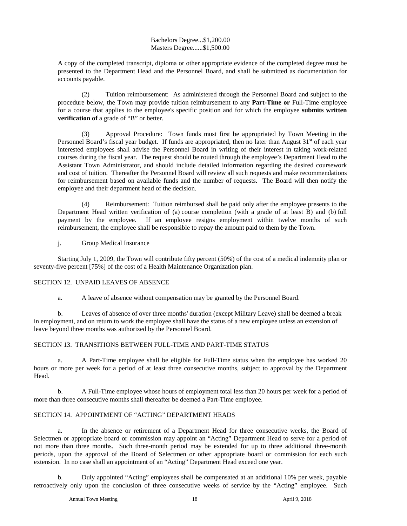#### Bachelors Degree...\$1,200.00 Masters Degree......\$1,500.00

A copy of the completed transcript, diploma or other appropriate evidence of the completed degree must be presented to the Department Head and the Personnel Board, and shall be submitted as documentation for accounts payable.

(2) Tuition reimbursement: As administered through the Personnel Board and subject to the procedure below, the Town may provide tuition reimbursement to any **Part-Time or** Full-Time employee for a course that applies to the employee's specific position and for which the employee **submits written verification of** a grade of "B" or better.

(3) Approval Procedure: Town funds must first be appropriated by Town Meeting in the Personnel Board's fiscal year budget. If funds are appropriated, then no later than August  $31<sup>st</sup>$  of each year interested employees shall advise the Personnel Board in writing of their interest in taking work-related courses during the fiscal year. The request should be routed through the employee's Department Head to the Assistant Town Administrator, and should include detailed information regarding the desired coursework and cost of tuition. Thereafter the Personnel Board will review all such requests and make recommendations for reimbursement based on available funds and the number of requests. The Board will then notify the employee and their department head of the decision.

(4) Reimbursement: Tuition reimbursed shall be paid only after the employee presents to the Department Head written verification of (a) course completion (with a grade of at least B) and (b) full payment by the employee. If an employee resigns employment within twelve months of such reimbursement, the employee shall be responsible to repay the amount paid to them by the Town.

j. Group Medical Insurance

Starting July 1, 2009, the Town will contribute fifty percent (50%) of the cost of a medical indemnity plan or seventy-five percent [75%] of the cost of a Health Maintenance Organization plan.

#### SECTION 12. UNPAID LEAVES OF ABSENCE

a. A leave of absence without compensation may be granted by the Personnel Board.

b. Leaves of absence of over three months' duration (except Military Leave) shall be deemed a break in employment, and on return to work the employee shall have the status of a new employee unless an extension of leave beyond three months was authorized by the Personnel Board.

#### SECTION 13. TRANSITIONS BETWEEN FULL-TIME AND PART-TIME STATUS

a. A Part-Time employee shall be eligible for Full-Time status when the employee has worked 20 hours or more per week for a period of at least three consecutive months, subject to approval by the Department Head.

b. A Full-Time employee whose hours of employment total less than 20 hours per week for a period of more than three consecutive months shall thereafter be deemed a Part-Time employee.

#### SECTION 14. APPOINTMENT OF "ACTING" DEPARTMENT HEADS

a. In the absence or retirement of a Department Head for three consecutive weeks, the Board of Selectmen or appropriate board or commission may appoint an "Acting" Department Head to serve for a period of not more than three months. Such three-month period may be extended for up to three additional three-month periods, upon the approval of the Board of Selectmen or other appropriate board or commission for each such extension. In no case shall an appointment of an "Acting" Department Head exceed one year.

b. Duly appointed "Acting" employees shall be compensated at an additional 10% per week, payable retroactively only upon the conclusion of three consecutive weeks of service by the "Acting" employee. Such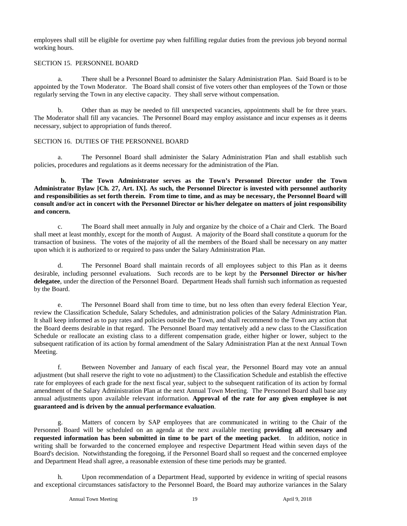employees shall still be eligible for overtime pay when fulfilling regular duties from the previous job beyond normal working hours.

#### SECTION 15. PERSONNEL BOARD

a. There shall be a Personnel Board to administer the Salary Administration Plan. Said Board is to be appointed by the Town Moderator. The Board shall consist of five voters other than employees of the Town or those regularly serving the Town in any elective capacity. They shall serve without compensation.

Other than as may be needed to fill unexpected vacancies, appointments shall be for three years. The Moderator shall fill any vacancies. The Personnel Board may employ assistance and incur expenses as it deems necessary, subject to appropriation of funds thereof.

#### SECTION 16. DUTIES OF THE PERSONNEL BOARD

a. The Personnel Board shall administer the Salary Administration Plan and shall establish such policies, procedures and regulations as it deems necessary for the administration of the Plan.

**b. The Town Administrator serves as the Town's Personnel Director under the Town Administrator Bylaw [Ch. 27, Art. IX]. As such, the Personnel Director is invested with personnel authority and responsibilities as set forth therein. From time to time, and as may be necessary, the Personnel Board will consult and/or act in concert with the Personnel Director or his/her delegatee on matters of joint responsibility and concern.** 

c. The Board shall meet annually in July and organize by the choice of a Chair and Clerk. The Board shall meet at least monthly, except for the month of August. A majority of the Board shall constitute a quorum for the transaction of business. The votes of the majority of all the members of the Board shall be necessary on any matter upon which it is authorized to or required to pass under the Salary Administration Plan.

d. The Personnel Board shall maintain records of all employees subject to this Plan as it deems desirable, including personnel evaluations. Such records are to be kept by the **Personnel Director or his/her delegatee**, under the direction of the Personnel Board. Department Heads shall furnish such information as requested by the Board.

e. The Personnel Board shall from time to time, but no less often than every federal Election Year, review the Classification Schedule, Salary Schedules, and administration policies of the Salary Administration Plan. It shall keep informed as to pay rates and policies outside the Town, and shall recommend to the Town any action that the Board deems desirable in that regard. The Personnel Board may tentatively add a new class to the Classification Schedule or reallocate an existing class to a different compensation grade, either higher or lower, subject to the subsequent ratification of its action by formal amendment of the Salary Administration Plan at the next Annual Town Meeting.

f. Between November and January of each fiscal year, the Personnel Board may vote an annual adjustment (but shall reserve the right to vote no adjustment) to the Classification Schedule and establish the effective rate for employees of each grade for the next fiscal year, subject to the subsequent ratification of its action by formal amendment of the Salary Administration Plan at the next Annual Town Meeting. The Personnel Board shall base any annual adjustments upon available relevant information. **Approval of the rate for any given employee is not guaranteed and is driven by the annual performance evaluation**.

g. Matters of concern by SAP employees that are communicated in writing to the Chair of the Personnel Board will be scheduled on an agenda at the next available meeting **providing all necessary and requested information has been submitted in time to be part of the meeting packet**. In addition, notice in writing shall be forwarded to the concerned employee and respective Department Head within seven days of the Board's decision. Notwithstanding the foregoing, if the Personnel Board shall so request and the concerned employee and Department Head shall agree, a reasonable extension of these time periods may be granted.

h. Upon recommendation of a Department Head, supported by evidence in writing of special reasons and exceptional circumstances satisfactory to the Personnel Board, the Board may authorize variances in the Salary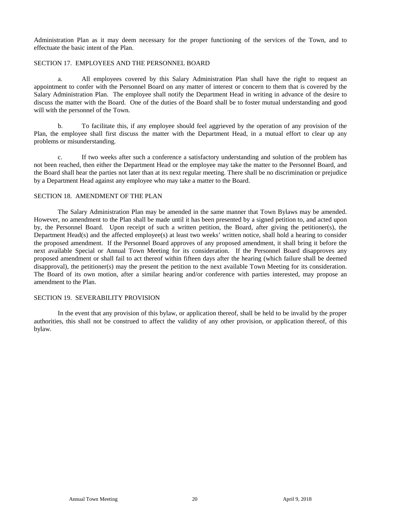Administration Plan as it may deem necessary for the proper functioning of the services of the Town, and to effectuate the basic intent of the Plan.

#### SECTION 17. EMPLOYEES AND THE PERSONNEL BOARD

a. All employees covered by this Salary Administration Plan shall have the right to request an appointment to confer with the Personnel Board on any matter of interest or concern to them that is covered by the Salary Administration Plan. The employee shall notify the Department Head in writing in advance of the desire to discuss the matter with the Board. One of the duties of the Board shall be to foster mutual understanding and good will with the personnel of the Town.

b. To facilitate this, if any employee should feel aggrieved by the operation of any provision of the Plan, the employee shall first discuss the matter with the Department Head, in a mutual effort to clear up any problems or misunderstanding.

c. If two weeks after such a conference a satisfactory understanding and solution of the problem has not been reached, then either the Department Head or the employee may take the matter to the Personnel Board, and the Board shall hear the parties not later than at its next regular meeting. There shall be no discrimination or prejudice by a Department Head against any employee who may take a matter to the Board.

#### SECTION 18. AMENDMENT OF THE PLAN

The Salary Administration Plan may be amended in the same manner that Town Bylaws may be amended. However, no amendment to the Plan shall be made until it has been presented by a signed petition to, and acted upon by, the Personnel Board. Upon receipt of such a written petition, the Board, after giving the petitioner(s), the Department Head(s) and the affected employee(s) at least two weeks' written notice, shall hold a hearing to consider the proposed amendment. If the Personnel Board approves of any proposed amendment, it shall bring it before the next available Special or Annual Town Meeting for its consideration. If the Personnel Board disapproves any proposed amendment or shall fail to act thereof within fifteen days after the hearing (which failure shall be deemed disapproval), the petitioner(s) may the present the petition to the next available Town Meeting for its consideration. The Board of its own motion, after a similar hearing and/or conference with parties interested, may propose an amendment to the Plan.

#### SECTION 19. SEVERABILITY PROVISION

In the event that any provision of this bylaw, or application thereof, shall be held to be invalid by the proper authorities, this shall not be construed to affect the validity of any other provision, or application thereof, of this bylaw.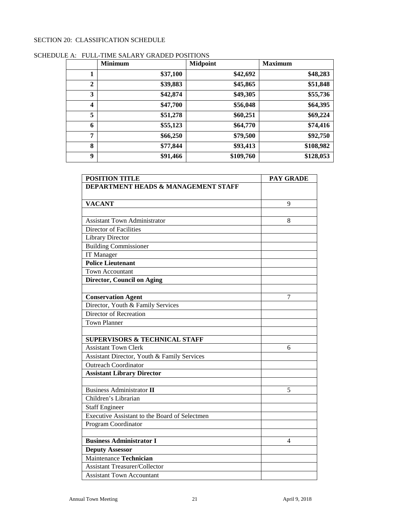#### SECTION 20: CLASSIFICATION SCHEDULE

|              | <b>Minimum</b> | <b>Midpoint</b> | <b>Maximum</b> |
|--------------|----------------|-----------------|----------------|
| 1            | \$37,100       | \$42,692        | \$48,283       |
| $\mathbf{2}$ | \$39,883       | \$45,865        | \$51,848       |
| 3            | \$42,874       | \$49,305        | \$55,736       |
| 4            | \$47,700       | \$56,048        | \$64,395       |
| 5            | \$51,278       | \$60,251        | \$69,224       |
| 6            | \$55,123       | \$64,770        | \$74,416       |
| 7            | \$66,250       | \$79,500        | \$92,750       |
| 8            | \$77,844       | \$93,413        | \$108,982      |
| 9            | \$91,466       | \$109,760       | \$128,053      |

|  | SCHEDULE A: FULL-TIME SALARY GRADED POSITIONS |
|--|-----------------------------------------------|
|--|-----------------------------------------------|

| <b>POSITION TITLE</b>                          | <b>PAY GRADE</b> |
|------------------------------------------------|------------------|
| <b>DEPARTMENT HEADS &amp; MANAGEMENT STAFF</b> |                  |
|                                                |                  |
| <b>VACANT</b>                                  | 9                |
|                                                |                  |
| <b>Assistant Town Administrator</b>            | 8                |
| Director of Facilities                         |                  |
| <b>Library Director</b>                        |                  |
| <b>Building Commissioner</b>                   |                  |
| <b>IT Manager</b>                              |                  |
| <b>Police Lieutenant</b>                       |                  |
| <b>Town Accountant</b>                         |                  |
| <b>Director, Council on Aging</b>              |                  |
|                                                |                  |
| <b>Conservation Agent</b>                      | $\overline{7}$   |
| Director, Youth & Family Services              |                  |
| Director of Recreation                         |                  |
| <b>Town Planner</b>                            |                  |
|                                                |                  |
| <b>SUPERVISORS &amp; TECHNICAL STAFF</b>       |                  |
| <b>Assistant Town Clerk</b>                    | 6                |
| Assistant Director, Youth & Family Services    |                  |
| <b>Outreach Coordinator</b>                    |                  |
| <b>Assistant Library Director</b>              |                  |
|                                                |                  |
| <b>Business Administrator II</b>               | 5                |
| Children's Librarian                           |                  |
| <b>Staff Engineer</b>                          |                  |
| Executive Assistant to the Board of Selectmen  |                  |
| Program Coordinator                            |                  |
|                                                |                  |
| <b>Business Administrator I</b>                | 4                |
| <b>Deputy Assessor</b>                         |                  |
| Maintenance Technician                         |                  |
| <b>Assistant Treasurer/Collector</b>           |                  |
| <b>Assistant Town Accountant</b>               |                  |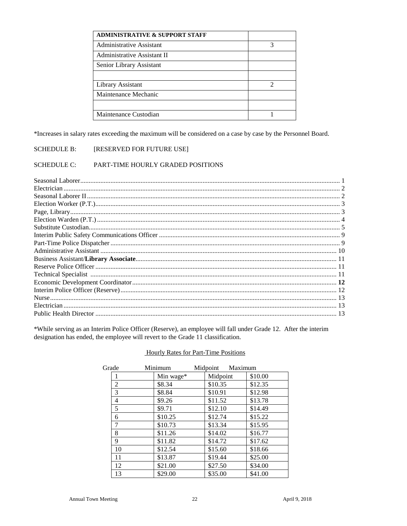| <b>ADMINISTRATIVE &amp; SUPPORT STAFF</b> |                             |
|-------------------------------------------|-----------------------------|
| Administrative Assistant                  | 3                           |
| Administrative Assistant II               |                             |
| Senior Library Assistant                  |                             |
|                                           |                             |
| Library Assistant                         | $\mathcal{D}_{\mathcal{L}}$ |
| Maintenance Mechanic                      |                             |
|                                           |                             |
| Maintenance Custodian                     |                             |

\*Increases in salary rates exceeding the maximum will be considered on a case by case by the Personnel Board.

#### **SCHEDULE B:** [RESERVED FOR FUTURE USE]

#### **SCHEDULE C:** PART-TIME HOURLY GRADED POSITIONS

\*While serving as an Interim Police Officer (Reserve), an employee will fall under Grade 12. After the interim designation has ended, the employee will revert to the Grade 11 classification.

| Grade | Minimum   | Midpoint | Maximum |
|-------|-----------|----------|---------|
|       | Min wage* | Midpoint | \$10.00 |
| 2     | \$8.34    | \$10.35  | \$12.35 |
| 3     | \$8.84    | \$10.91  | \$12.98 |
| 4     | \$9.26    | \$11.52  | \$13.78 |
| 5     | \$9.71    | \$12.10  | \$14.49 |
| 6     | \$10.25   | \$12.74  | \$15.22 |
|       | \$10.73   | \$13.34  | \$15.95 |
| 8     | \$11.26   | \$14.02  | \$16.77 |
| 9     | \$11.82   | \$14.72  | \$17.62 |
| 10    | \$12.54   | \$15.60  | \$18.66 |
| 11    | \$13.87   | \$19.44  | \$25.00 |
| 12    | \$21.00   | \$27.50  | \$34.00 |
| 13    | \$29.00   | \$35.00  | \$41.00 |

#### **Hourly Rates for Part-Time Positions**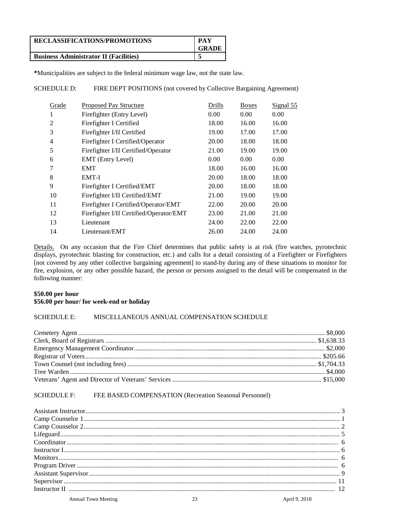| RECLASSIFICATIONS/PROMOTIONS                  | <b>PAY</b><br>GRADE |
|-----------------------------------------------|---------------------|
| <b>Business Administrator II (Facilities)</b> |                     |

**\***Municipalities are subject to the federal minimum wage law, not the state law.

SCHEDULE D: FIRE DEPT POSITIONS (not covered by Collective Bargaining Agreement)

| Grade | <b>Proposed Pay Structure</b>           | Drills | <b>Boxes</b> | Signal 55 |
|-------|-----------------------------------------|--------|--------------|-----------|
| л.    | Firefighter (Entry Level)               | 0.00   | 0.00         | 0.00      |
| 2     | Firefighter I Certified                 | 18.00  | 16.00        | 16.00     |
| 3     | Firefighter I/II Certified              | 19.00  | 17.00        | 17.00     |
| 4     | Firefighter I Certified/Operator        | 20.00  | 18.00        | 18.00     |
| 5     | Firefighter I/II Certified/Operator     | 21.00  | 19.00        | 19.00     |
| 6     | <b>EMT</b> (Entry Level)                | 0.00   | 0.00         | 0.00      |
| 7     | <b>EMT</b>                              | 18.00  | 16.00        | 16.00     |
| 8     | EMT-I                                   | 20.00  | 18.00        | 18.00     |
| 9     | Firefighter I Certified/EMT             | 20.00  | 18.00        | 18.00     |
| 10    | Firefighter I/II Certified/EMT          | 21.00  | 19.00        | 19.00     |
| 11    | Firefighter I Certified/Operator/EMT    | 22.00  | 20.00        | 20.00     |
| 12    | Firefighter I/II Certified/Operator/EMT | 23.00  | 21.00        | 21.00     |
| 13    | Lieutenant                              | 24.00  | 22.00        | 22.00     |
| 14    | Lieutenant/EMT                          | 26.00  | 24.00        | 24.00     |

Details. On any occasion that the Fire Chief determines that public safety is at risk (fire watches, pyrotechnic displays, pyrotechnic blasting for construction, etc.) and calls for a detail consisting of a Firefighter or Firefighters [not covered by any other collective bargaining agreement] to stand-by during any of these situations to monitor for fire, explosion, or any other possible hazard, the person or persons assigned to the detail will be compensated in the following manner:

#### **\$50.00 per hour \$56.00 per hour/ for week-end or holiday**

#### SCHEDULE E: MISCELLANEOUS ANNUAL COMPENSATION SCHEDULE

### SCHEDULE F: FEE BASED COMPENSATION (Recreation Seasonal Personnel)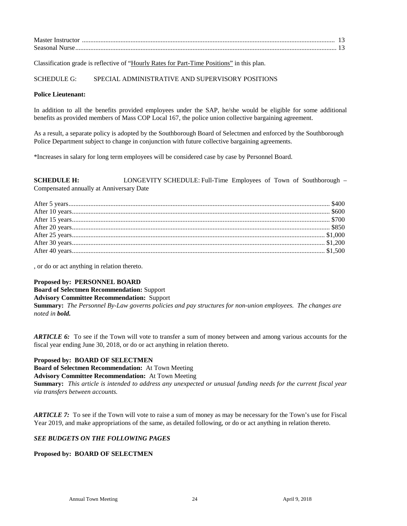| Master Instructor |  |
|-------------------|--|
| Seasonal Nurse    |  |

Classification grade is reflective of "Hourly Rates for Part-Time Positions" in this plan.

#### SCHEDULE G: SPECIAL ADMINISTRATIVE AND SUPERVISORY POSITIONS

#### **Police Lieutenant:**

In addition to all the benefits provided employees under the SAP, he/she would be eligible for some additional benefits as provided members of Mass COP Local 167, the police union collective bargaining agreement.

As a result, a separate policy is adopted by the Southborough Board of Selectmen and enforced by the Southborough Police Department subject to change in conjunction with future collective bargaining agreements.

\*Increases in salary for long term employees will be considered case by case by Personnel Board.

**SCHEDULE H:** LONGEVITY SCHEDULE: Full-Time Employees of Town of Southborough – Compensated annually at Anniversary Date

, or do or act anything in relation thereto.

#### **Proposed by: PERSONNEL BOARD**

**Board of Selectmen Recommendation:** Support

#### **Advisory Committee Recommendation:** Support

**Summary:** *The Personnel By-Law governs policies and pay structures for non-union employees. The changes are noted in bold.* 

*ARTICLE 6:* To see if the Town will vote to transfer a sum of money between and among various accounts for the fiscal year ending June 30, 2018, or do or act anything in relation thereto.

**Proposed by: BOARD OF SELECTMEN Board of Selectmen Recommendation:** At Town Meeting

**Advisory Committee Recommendation:** At Town Meeting

**Summary:** *This article is intended to address any unexpected or unusual funding needs for the current fiscal year via transfers between accounts.*

*ARTICLE 7:* To see if the Town will vote to raise a sum of money as may be necessary for the Town's use for Fiscal Year 2019, and make appropriations of the same, as detailed following, or do or act anything in relation thereto.

#### *SEE BUDGETS ON THE FOLLOWING PAGES*

#### **Proposed by: BOARD OF SELECTMEN**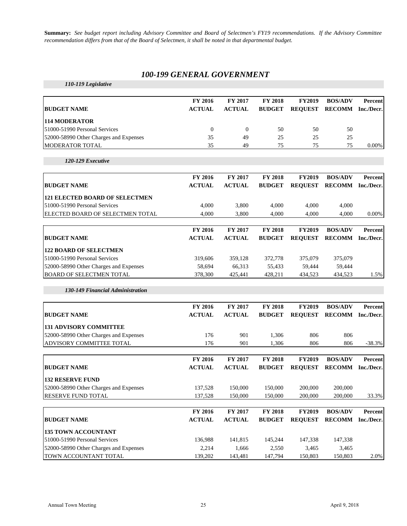**Summary:** *See budget report including Advisory Committee and Board of Selectmen's FY19 recommendations. If the Advisory Committee recommendation differs from that of the Board of Selectmen, it shall be noted in that departmental budget.*

### *100-199 GENERAL GOVERNMENT*

*110-119 Legislative*

| <b>BUDGET NAME</b>                     | <b>FY 2016</b><br><b>ACTUAL</b> | <b>FY 2017</b><br><b>ACTUAL</b> | <b>FY 2018</b><br><b>BUDGET</b> | <b>FY2019</b> | <b>BOS/ADV</b><br>REQUEST RECOMM Inc./Decr. | Percent  |
|----------------------------------------|---------------------------------|---------------------------------|---------------------------------|---------------|---------------------------------------------|----------|
| <b>114 MODERATOR</b>                   |                                 |                                 |                                 |               |                                             |          |
| 51000-51990 Personal Services          |                                 |                                 | 50                              | 50            | 50                                          |          |
| 52000-58990 Other Charges and Expenses | 35                              | 49                              | 25                              | 25            | 25                                          |          |
| <b>MODERATOR TOTAL</b>                 | 35                              | 49                              | 75                              | 75            |                                             | $0.00\%$ |

*120-129 Executive*

| <b>FY 2016</b><br><b>ACTUAL</b> | <b>FY 2017</b><br><b>ACTUAL</b> | <b>FY 2018</b><br><b>BUDGET</b> | <b>FY2019</b><br><b>REOUEST</b> | <b>BOS/ADV</b><br><b>RECOMM</b> | Percent<br>Inc./Decr.1 |
|---------------------------------|---------------------------------|---------------------------------|---------------------------------|---------------------------------|------------------------|
|                                 |                                 |                                 |                                 |                                 |                        |
| 4.000                           | 3.800                           | 4.000                           | 4.000                           | 4.000                           |                        |
| 4.000                           | 3.800                           | 4.000                           | 4.000                           | 4.000                           | 0.00%                  |
|                                 |                                 |                                 |                                 |                                 |                        |

|                                        | <b>FY 2016</b> | <b>FY 2017</b> | <b>FY 2018</b> | <b>FY2019</b>  | <b>BOS/ADV</b> | Percent    |
|----------------------------------------|----------------|----------------|----------------|----------------|----------------|------------|
| <b>BUDGET NAME</b>                     | <b>ACTUAL</b>  | <b>ACTUAL</b>  | <b>BUDGET</b>  | <b>REOUEST</b> | <b>RECOMM</b>  | Inc./Decr. |
| <b>122 BOARD OF SELECTMEN</b>          |                |                |                |                |                |            |
| 51000-51990 Personal Services          | 319.606        | 359.128        | 372,778        | 375,079        | 375,079        |            |
| 52000-58990 Other Charges and Expenses | 58.694         | 66.313         | 55.433         | 59.444         | 59.444         |            |
| <b>BOARD OF SELECTMEN TOTAL</b>        | 378,300        | 425,441        | 428.211        | 434.523        | 434.523        | $1.5\%$    |

*130-149 Financial Administration*

|                                        | <b>FY 2016</b> | <b>FY 2017</b> | <b>FY 2018</b> | <b>FY2019</b>  | <b>BOS/ADV</b> | Percent    |
|----------------------------------------|----------------|----------------|----------------|----------------|----------------|------------|
| <b>BUDGET NAME</b>                     | <b>ACTUAL</b>  | <b>ACTUAL</b>  | <b>BUDGET</b>  | <b>REQUEST</b> | <b>RECOMM</b>  | Inc./Decr. |
| <b>131 ADVISORY COMMITTEE</b>          |                |                |                |                |                |            |
| 52000-58990 Other Charges and Expenses | 176            | 901            | 1,306          | 806            | 806            |            |
| ADVISORY COMMITTEE TOTAL               | 176            | 901            | 1,306          | 806            | 806            | $-38.3%$   |
|                                        | <b>FY 2016</b> | <b>FY 2017</b> | <b>FY 2018</b> | <b>FY2019</b>  | <b>BOS/ADV</b> | Percent    |
| <b>BUDGET NAME</b>                     | <b>ACTUAL</b>  | <b>ACTUAL</b>  | <b>BUDGET</b>  | <b>REQUEST</b> | <b>RECOMM</b>  | Inc./Decr. |
| <b>132 RESERVE FUND</b>                |                |                |                |                |                |            |
| 52000-58990 Other Charges and Expenses | 137,528        | 150,000        | 150,000        | 200,000        | 200,000        |            |
| <b>RESERVE FUND TOTAL</b>              | 137,528        | 150,000        | 150,000        | 200,000        | 200,000        | 33.3%      |
|                                        | <b>FY 2016</b> | <b>FY 2017</b> | <b>FY 2018</b> | <b>FY2019</b>  | <b>BOS/ADV</b> | Percent    |
| <b>BUDGET NAME</b>                     | <b>ACTUAL</b>  | <b>ACTUAL</b>  | <b>BUDGET</b>  | <b>REOUEST</b> | <b>RECOMM</b>  | Inc./Decr. |
| <b>135 TOWN ACCOUNTANT</b>             |                |                |                |                |                |            |
| 51000-51990 Personal Services          | 136,988        | 141,815        | 145,244        | 147,338        | 147,338        |            |
| 52000-58990 Other Charges and Expenses | 2,214          | 1,666          | 2,550          | 3,465          | 3,465          |            |
| TOWN ACCOUNTANT TOTAL                  | 139,202        | 143,481        | 147,794        | 150,803        | 150,803        | 2.0%       |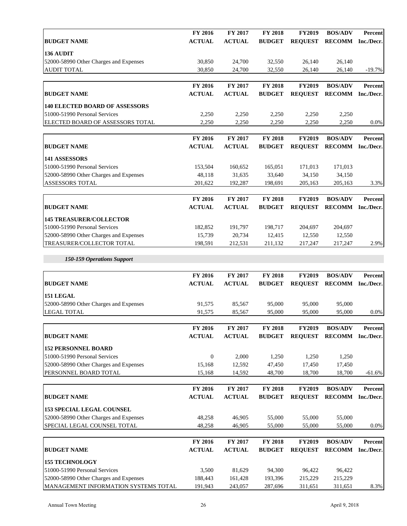|                                        | FY 2016        | FY 2017       | FY 2018        | <b>FY2019</b>  | <b>BOS/ADV</b>    | Percent    |
|----------------------------------------|----------------|---------------|----------------|----------------|-------------------|------------|
| <b>BUDGET NAME</b>                     | <b>ACTUAL</b>  | <b>ACTUAL</b> | <b>BUDGET</b>  | <b>REQUEST</b> | RECOMM Inc./Decr. |            |
| 136 AUDIT                              |                |               |                |                |                   |            |
| 52000-58990 Other Charges and Expenses | 30,850         | 24,700        | 32,550         | 26,140         | 26,140            |            |
| <b>AUDIT TOTAL</b>                     | 30,850         | 24,700        | 32,550         | 26,140         | 26,140            | $-19.7%$   |
|                                        |                |               |                |                |                   |            |
|                                        | FY 2016        | FY 2017       | <b>FY 2018</b> | <b>FY2019</b>  | <b>BOS/ADV</b>    | Percent    |
| <b>BUDGET NAME</b>                     | <b>ACTUAL</b>  | <b>ACTUAL</b> | <b>BUDGET</b>  | <b>REQUEST</b> | <b>RECOMM</b>     | Inc./Decr. |
| <b>140 ELECTED BOARD OF ASSESSORS</b>  |                |               |                |                |                   |            |
| 51000-51990 Personal Services          | 2,250          | 2,250         | 2,250          | 2,250          | 2,250             |            |
| ELECTED BOARD OF ASSESSORS TOTAL       | 2,250          | 2,250         | 2,250          | 2,250          | 2,250             | $0.0\%$    |
|                                        |                |               |                |                |                   |            |
|                                        | FY 2016        | FY 2017       | FY 2018        | <b>FY2019</b>  | <b>BOS/ADV</b>    | Percent    |
| <b>BUDGET NAME</b>                     | <b>ACTUAL</b>  | <b>ACTUAL</b> | <b>BUDGET</b>  | <b>REQUEST</b> | <b>RECOMM</b>     | Inc./Decr. |
| 141 ASSESSORS                          |                |               |                |                |                   |            |
| 51000-51990 Personal Services          | 153,504        | 160,652       | 165,051        | 171,013        | 171,013           |            |
| 52000-58990 Other Charges and Expenses | 48,118         | 31,635        | 33,640         | 34,150         | 34,150            |            |
| ASSESSORS TOTAL                        | 201,622        | 192,287       | 198,691        | 205,163        | 205,163           | 3.3%       |
|                                        |                |               |                |                |                   |            |
|                                        | FY 2016        | FY 2017       | <b>FY 2018</b> | <b>FY2019</b>  | <b>BOS/ADV</b>    | Percent    |
| <b>BUDGET NAME</b>                     | <b>ACTUAL</b>  | <b>ACTUAL</b> | <b>BUDGET</b>  | <b>REQUEST</b> | RECOMM Inc./Decr. |            |
| <b>145 TREASURER/COLLECTOR</b>         |                |               |                |                |                   |            |
| 51000-51990 Personal Services          | 182,852        | 191,797       | 198,717        | 204,697        | 204,697           |            |
| 52000-58990 Other Charges and Expenses | 15,739         | 20,734        | 12,415         | 12,550         | 12,550            |            |
| TREASURER/COLLECTOR TOTAL              | 198,591        | 212,531       | 211,132        | 217,247        | 217,247           | 2.9%       |
|                                        |                |               |                |                |                   |            |
| 150-159 Operations Support             |                |               |                |                |                   |            |
|                                        |                |               |                |                |                   |            |
|                                        | FY 2016        | FY 2017       | FY 2018        | <b>FY2019</b>  | <b>BOS/ADV</b>    | Percent    |
| <b>BUDGET NAME</b>                     | <b>ACTUAL</b>  | <b>ACTUAL</b> | <b>BUDGET</b>  | <b>REQUEST</b> | <b>RECOMM</b>     | Inc./Decr. |
| 151 LEGAL                              |                |               |                |                |                   |            |
| 52000-58990 Other Charges and Expenses | 91,575         | 85,567        | 95,000         | 95,000         | 95,000            |            |
| <b>LEGAL TOTAL</b>                     | 91,575         | 85,567        | 95,000         | 95,000         | 95,000            | $0.0\%$    |
|                                        |                |               |                |                |                   |            |
|                                        | <b>FY 2016</b> | FY 2017       | <b>FY 2018</b> | <b>FY2019</b>  | <b>BOS/ADV</b>    | Percent    |
| <b>BUDGET NAME</b>                     | <b>ACTUAL</b>  | <b>ACTUAL</b> | <b>BUDGET</b>  | <b>REQUEST</b> | RECOMM Inc./Decr. |            |
| <b>152 PERSONNEL BOARD</b>             |                |               |                |                |                   |            |
| 51000-51990 Personal Services          | $\mathbf{0}$   | 2,000         | 1,250          | 1,250          | 1,250             |            |
| 52000-58990 Other Charges and Expenses | 15,168         | 12,592        | 47,450         | 17,450         | 17,450            |            |
| PERSONNEL BOARD TOTAL                  | 15,168         | 14,592        | 48,700         | 18,700         | 18,700            | $-61.6%$   |
|                                        |                |               |                |                |                   |            |
|                                        | FY 2016        | FY 2017       | FY 2018        | <b>FY2019</b>  | <b>BOS/ADV</b>    | Percent    |
| <b>BUDGET NAME</b>                     | <b>ACTUAL</b>  | <b>ACTUAL</b> | <b>BUDGET</b>  | <b>REQUEST</b> | RECOMM Inc./Decr. |            |
| <b>153 SPECIAL LEGAL COUNSEL</b>       |                |               |                |                |                   |            |
| 52000-58990 Other Charges and Expenses | 48,258         | 46,905        | 55,000         | 55,000         | 55,000            |            |
| SPECIAL LEGAL COUNSEL TOTAL            | 48,258         | 46,905        | 55,000         | 55,000         | 55,000            | $0.0\%$    |
|                                        |                |               |                |                |                   |            |
|                                        | FY 2016        | FY 2017       | FY 2018        | <b>FY2019</b>  | <b>BOS/ADV</b>    | Percent    |
| <b>BUDGET NAME</b>                     | <b>ACTUAL</b>  | <b>ACTUAL</b> | <b>BUDGET</b>  | <b>REQUEST</b> | <b>RECOMM</b>     | Inc./Decr. |
| <b>155 TECHNOLOGY</b>                  |                |               |                |                |                   |            |
| 51000-51990 Personal Services          | 3,500          | 81,629        | 94,300         | 96,422         | 96,422            |            |
| 52000-58990 Other Charges and Expenses | 188,443        | 161,428       | 193,396        | 215,229        | 215,229           |            |
| MANAGEMENT INFORMATION SYSTEMS TOTAL   | 191,943        | 243,057       | 287,696        | 311,651        | 311,651           | 8.3%       |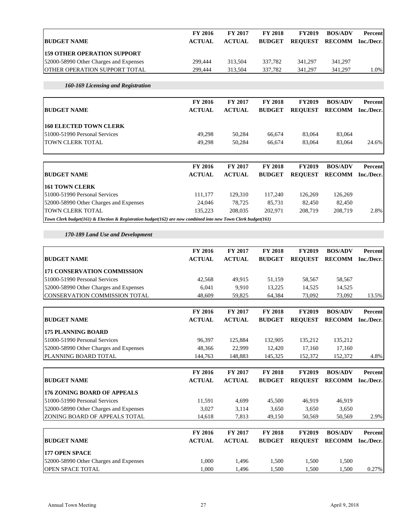|                                        | <b>FY 2016</b> | <b>FY 2017</b> | <b>FY 2018</b> | <b>FY2019</b> | <b>BOS/ADV</b>        | Percent    |
|----------------------------------------|----------------|----------------|----------------|---------------|-----------------------|------------|
| <b>BUDGET NAME</b>                     | <b>ACTUAL</b>  | <b>ACTUAL</b>  | <b>BUDGET</b>  |               | <b>REOUEST RECOMM</b> | Inc./Decr. |
| <b>159 OTHER OPERATION SUPPORT</b>     |                |                |                |               |                       |            |
| 52000-58990 Other Charges and Expenses | 299.444        | 313.504        | 337,782        | 341,297       | 341,297               |            |
| <b>OTHER OPERATION SUPPORT TOTAL</b>   | 299,444        | 313.504        | 337,782        | 341,297       | 341,297               | $0\%$      |
|                                        |                |                |                |               |                       |            |

#### *160-169 Licensing and Registration*

| <b>BUDGET NAME</b>            | <b>FY 2016</b><br><b>ACTUAL</b> | <b>FY 2017</b><br><b>ACTUAL</b> | <b>FY 2018</b><br><b>BUDGET</b> | <b>FY2019</b><br><b>REOUEST</b> | <b>BOS/ADV</b><br>RECOMM Inc./Decr. | Percent |
|-------------------------------|---------------------------------|---------------------------------|---------------------------------|---------------------------------|-------------------------------------|---------|
| <b>160 ELECTED TOWN CLERK</b> |                                 |                                 |                                 |                                 |                                     |         |
| 51000-51990 Personal Services | 49.298                          | 50.284                          | 66.674                          | 83,064                          | 83,064                              |         |
| <b>TOWN CLERK TOTAL</b>       | 49.298                          | 50.284                          | 66.674                          | 83,064                          | 83,064                              | 24.6%   |

| <b>BUDGET NAME</b>                                                                                            | <b>FY 2016</b><br><b>ACTUAL</b> | <b>FY 2017</b><br><b>ACTUAL</b> | <b>FY 2018</b><br><b>BUDGET</b> | <b>FY2019</b><br><b>REOUEST</b> | <b>BOS/ADV</b><br><b>RECOMM</b> | Percent<br>Inc./Decr. |
|---------------------------------------------------------------------------------------------------------------|---------------------------------|---------------------------------|---------------------------------|---------------------------------|---------------------------------|-----------------------|
| <b>161 TOWN CLERK</b>                                                                                         |                                 |                                 |                                 |                                 |                                 |                       |
| 51000-51990 Personal Services                                                                                 | 111.177                         | 129.310                         | 117,240                         | 126.269                         | 126,269                         |                       |
| 52000-58990 Other Charges and Expenses                                                                        | 24,046                          | 78.725                          | 85.731                          | 82.450                          | 82.450                          |                       |
| <b>TOWN CLERK TOTAL</b>                                                                                       | 135.223                         | 208.035                         | 202.971                         | 208,719                         | 208,719                         | 2.8%                  |
| Town Clerk budget(161) & Election & Registration budget(162) are now combined into new Town Clerk budget(161) |                                 |                                 |                                 |                                 |                                 |                       |

#### *170-189 Land Use and Development*

|                                         | <b>FY 2016</b> | <b>FY 2017</b> | <b>FY 2018</b> | <b>FY2019</b>  | <b>BOS/ADV</b> | Percent    |
|-----------------------------------------|----------------|----------------|----------------|----------------|----------------|------------|
| <b>BUDGET NAME</b>                      | <b>ACTUAL</b>  | <b>ACTUAL</b>  | <b>BUDGET</b>  | <b>REOUEST</b> | <b>RECOMM</b>  | Inc./Decr. |
| <b>171 CONSERVATION COMMISSION</b>      |                |                |                |                |                |            |
| 51000-51990 Personal Services           | 42,568         | 49,915         | 51,159         | 58,567         | 58,567         |            |
| 52000-58990 Other Charges and Expenses  | 6.041          | 9.910          | 13,225         | 14,525         | 14,525         |            |
| <b>ICONSERVATION COMMISSION TOTAL</b>   | 48,609         | 59,825         | 64,384         | 73,092         | 73,092         | 13.5%      |
|                                         | <b>FY 2016</b> | <b>FY 2017</b> | <b>FY 2018</b> | <b>FY2019</b>  | <b>BOS/ADV</b> | Percent    |
| <b>BUDGET NAME</b>                      | <b>ACTUAL</b>  | <b>ACTUAL</b>  | <b>BUDGET</b>  | <b>REOUEST</b> | <b>RECOMM</b>  | Inc./Decr. |
| <b>175 PLANNING BOARD</b>               |                |                |                |                |                |            |
| 51000-51990 Personal Services           | 96,397         | 125,884        | 132,905        | 135.212        | 135,212        |            |
| 152000-58990 Other Charges and Expenses | 48.366         | 22.999         | 12.420         | 17.160         | 17.160         |            |

| 52000-58990 Other Charges and Expenses | 48,366         | 22,999         | 12,420         | 17,160         | 17,160         |            |
|----------------------------------------|----------------|----------------|----------------|----------------|----------------|------------|
| PLANNING BOARD TOTAL                   | 144,763        | 148,883        | 145,325        | 152,372        | 152,372        | 4.8%       |
|                                        | <b>FY 2016</b> | FY 2017        | <b>FY 2018</b> | <b>FY2019</b>  | <b>BOS/ADV</b> | Percent    |
| <b>BUDGET NAME</b>                     | <b>ACTUAL</b>  | <b>ACTUAL</b>  | <b>BUDGET</b>  | <b>REOUEST</b> | <b>RECOMM</b>  | Inc./Decr. |
| <b>176 ZONING BOARD OF APPEALS</b>     |                |                |                |                |                |            |
| 51000-51990 Personal Services          | 11,591         | 4,699          | 45,500         | 46,919         | 46,919         |            |
| 52000-58990 Other Charges and Expenses | 3,027          | 3,114          | 3,650          | 3,650          | 3,650          |            |
| ZONING BOARD OF APPEALS TOTAL          | 14.618         | 7,813          | 49,150         | 50,569         | 50,569         | 2.9%       |
|                                        | <b>FY 2016</b> | <b>FY 2017</b> | <b>FY 2018</b> | <b>FY2019</b>  | <b>BOS/ADV</b> | Percent    |
| <b>BUDGET NAME</b>                     | <b>ACTUAL</b>  | <b>ACTUAL</b>  | <b>BUDGET</b>  | <b>REOUEST</b> | <b>RECOMM</b>  | Inc./Decr. |
| <b>177 OPEN SPACE</b>                  |                |                |                |                |                |            |
| 52000-58990 Other Charges and Expenses | 1,000          | 1,496          | 1,500          | 1,500          | 1,500          |            |
| <b>OPEN SPACE TOTAL</b>                | 1.000          | 1,496          | 1,500          | 1,500          | 1,500          | 0.27%      |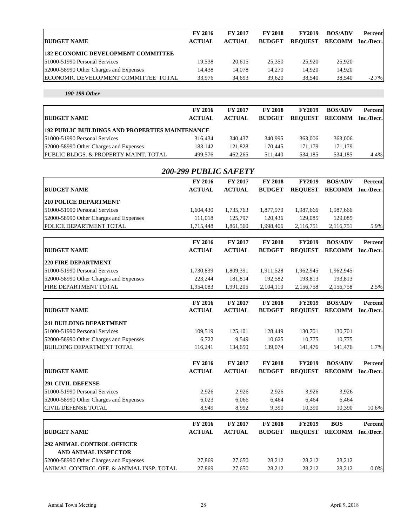|                                              | <b>FY 2016</b> | <b>FY 2017</b> | <b>FY 2018</b> | <b>FY2019</b>  | <b>BOS/ADV</b> | Percent    |
|----------------------------------------------|----------------|----------------|----------------|----------------|----------------|------------|
| <b>BUDGET NAME</b>                           | <b>ACTUAL</b>  | <b>ACTUAL</b>  | <b>BUDGET</b>  | <b>REOUEST</b> | <b>RECOMM</b>  | Inc./Decr. |
| <b>182 ECONOMIC DEVELOPMENT COMMITTEE</b>    |                |                |                |                |                |            |
| 51000-51990 Personal Services                | 19.538         | 20.615         | 25,350         | 25,920         | 25,920         |            |
| 52000-58990 Other Charges and Expenses       | 14.438         | 14.078         | 14.270         | 14.920         | 14.920         |            |
| <b>IECONOMIC DEVELOPMENT COMMITTEE TOTAL</b> | 33.976         | 34.693         | 39.620         | 38,540         | 38,540         | $-2.7\%$   |

*190-199 Other*

| <b>BUDGET NAME</b>                                     | <b>FY 2016</b><br><b>ACTUAL</b> | <b>FY 2017</b><br><b>ACTUAL</b> | <b>FY 2018</b><br><b>BUDGET</b> | <b>FY2019</b><br><b>REOUEST</b> | <b>BOS/ADV</b><br><b>RECOMM</b> | Percent<br>Inc./Decr. |
|--------------------------------------------------------|---------------------------------|---------------------------------|---------------------------------|---------------------------------|---------------------------------|-----------------------|
| <b>192 PUBLIC BUILDINGS AND PROPERTIES MAINTENANCE</b> |                                 |                                 |                                 |                                 |                                 |                       |
| 51000-51990 Personal Services                          | 316.434                         | 340,437                         | 340,995                         | 363,006                         | 363,006                         |                       |
| 52000-58990 Other Charges and Expenses                 | 183.142                         | 121.828                         | 170.445                         | 171.179                         | 171.179                         |                       |
| <b>PUBLIC BLDGS. &amp; PROPERTY MAINT. TOTAL</b>       | 499.576                         | 462,265                         | 511,440                         | 534,185                         | 534.185                         | 4.4%                  |

| <b>200-299 PUBLIC SAFETY</b>             |                |               |                |                |                   |                |  |  |  |  |
|------------------------------------------|----------------|---------------|----------------|----------------|-------------------|----------------|--|--|--|--|
|                                          | <b>FY 2016</b> | FY 2017       | FY 2018        | <b>FY2019</b>  | <b>BOS/ADV</b>    | <b>Percent</b> |  |  |  |  |
| <b>BUDGET NAME</b>                       | <b>ACTUAL</b>  | <b>ACTUAL</b> | <b>BUDGET</b>  | <b>REQUEST</b> | RECOMM Inc./Decr. |                |  |  |  |  |
| <b>210 POLICE DEPARTMENT</b>             |                |               |                |                |                   |                |  |  |  |  |
| 51000-51990 Personal Services            | 1,604,430      | 1,735,763     | 1,877,970      | 1,987,666      | 1,987,666         |                |  |  |  |  |
| 52000-58990 Other Charges and Expenses   | 111,018        | 125,797       | 120,436        | 129,085        | 129,085           |                |  |  |  |  |
| POLICE DEPARTMENT TOTAL                  | 1,715,448      | 1,861,560     | 1,998,406      | 2,116,751      | 2,116,751         | 5.9%           |  |  |  |  |
|                                          | FY 2016        | FY 2017       | <b>FY 2018</b> | <b>FY2019</b>  | <b>BOS/ADV</b>    | Percent        |  |  |  |  |
| <b>BUDGET NAME</b>                       | <b>ACTUAL</b>  | <b>ACTUAL</b> | <b>BUDGET</b>  | <b>REQUEST</b> | <b>RECOMM</b>     | Inc./Decr.     |  |  |  |  |
| <b>220 FIRE DEPARTMENT</b>               |                |               |                |                |                   |                |  |  |  |  |
| 51000-51990 Personal Services            | 1,730,839      | 1,809,391     | 1,911,528      | 1,962,945      | 1,962,945         |                |  |  |  |  |
| 52000-58990 Other Charges and Expenses   | 223,244        | 181,814       | 192,582        | 193,813        | 193,813           |                |  |  |  |  |
| FIRE DEPARTMENT TOTAL                    | 1,954,083      | 1,991,205     | 2,104,110      | 2,156,758      | 2,156,758         | 2.5%           |  |  |  |  |
|                                          | FY 2016        | FY 2017       | <b>FY 2018</b> | <b>FY2019</b>  | <b>BOS/ADV</b>    | <b>Percent</b> |  |  |  |  |
| <b>BUDGET NAME</b>                       | <b>ACTUAL</b>  | <b>ACTUAL</b> | <b>BUDGET</b>  | <b>REOUEST</b> | RECOMM Inc./Decr. |                |  |  |  |  |
| <b>241 BUILDING DEPARTMENT</b>           |                |               |                |                |                   |                |  |  |  |  |
| 51000-51990 Personal Services            | 109,519        | 125,101       | 128,449        | 130,701        | 130,701           |                |  |  |  |  |
| 52000-58990 Other Charges and Expenses   | 6,722          | 9,549         | 10,625         | 10,775         | 10,775            |                |  |  |  |  |
| <b>BUILDING DEPARTMENT TOTAL</b>         | 116,241        | 134,650       | 139,074        | 141,476        | 141,476           | 1.7%           |  |  |  |  |
|                                          | FY 2016        | FY 2017       | FY 2018        | FY2019         | <b>BOS/ADV</b>    | Percent        |  |  |  |  |
| <b>BUDGET NAME</b>                       | <b>ACTUAL</b>  | <b>ACTUAL</b> | <b>BUDGET</b>  | <b>REQUEST</b> | <b>RECOMM</b>     | Inc./Decr.     |  |  |  |  |
| <b>291 CIVIL DEFENSE</b>                 |                |               |                |                |                   |                |  |  |  |  |
| 51000-51990 Personal Services            | 2,926          | 2,926         | 2,926          | 3,926          | 3,926             |                |  |  |  |  |
| 52000-58990 Other Charges and Expenses   | 6,023          | 6,066         | 6,464          | 6,464          | 6,464             |                |  |  |  |  |
| <b>CIVIL DEFENSE TOTAL</b>               | 8,949          | 8,992         | 9,390          | 10,390         | 10,390            | 10.6%          |  |  |  |  |
|                                          | FY 2016        | FY 2017       | FY 2018        | FY2019         | <b>BOS</b>        | Percent        |  |  |  |  |
| <b>BUDGET NAME</b>                       | <b>ACTUAL</b>  | <b>ACTUAL</b> | <b>BUDGET</b>  | <b>REQUEST</b> | <b>RECOMM</b>     | Inc./Decr.     |  |  |  |  |
| 292 ANIMAL CONTROL OFFICER               |                |               |                |                |                   |                |  |  |  |  |
| AND ANIMAL INSPECTOR                     |                |               |                |                |                   |                |  |  |  |  |
| 52000-58990 Other Charges and Expenses   | 27,869         | 27,650        | 28,212         | 28,212         | 28,212            |                |  |  |  |  |
| ANIMAL CONTROL OFF. & ANIMAL INSP. TOTAL | 27,869         | 27,650        | 28,212         | 28,212         | 28,212            | $0.0\%$        |  |  |  |  |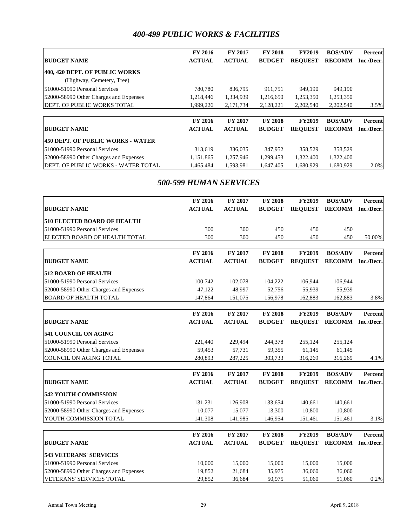### *400-499 PUBLIC WORKS & FACILITIES*

|                                        | <b>FY 2016</b> | <b>FY 2017</b> | <b>FY 2018</b> | <b>FY2019</b>  | <b>BOS/ADV</b> | Percent    |
|----------------------------------------|----------------|----------------|----------------|----------------|----------------|------------|
| <b>BUDGET NAME</b>                     | <b>ACTUAL</b>  | <b>ACTUAL</b>  | <b>BUDGET</b>  | <b>REOUEST</b> | <b>RECOMM</b>  | Inc./Decr. |
| 400, 420 DEPT. OF PUBLIC WORKS         |                |                |                |                |                |            |
| (Highway, Cemetery, Tree)              |                |                |                |                |                |            |
| 51000-51990 Personal Services          | 780.780        | 836,795        | 911,751        | 949,190        | 949,190        |            |
| 52000-58990 Other Charges and Expenses | 1,218,446      | 1,334,939      | 1,216,650      | 1,253,350      | 1,253,350      |            |
| DEPT. OF PUBLIC WORKS TOTAL            | 1,999,226      | 2,171,734      | 2,128,221      | 2,202,540      | 2,202,540      | 3.5%       |
|                                        |                |                |                |                |                |            |
|                                        | <b>FY 2016</b> | <b>FY 2017</b> | <b>FY 2018</b> | <b>FY2019</b>  | <b>BOS/ADV</b> | Percent    |
| <b>BUDGET NAME</b>                     | <b>ACTUAL</b>  | <b>ACTUAL</b>  | <b>BUDGET</b>  | <b>REOUEST</b> | <b>RECOMM</b>  | Inc./Decr. |
| 450 DEPT. OF PUBLIC WORKS - WATER      |                |                |                |                |                |            |
| 51000-51990 Personal Services          | 313,619        | 336,035        | 347,952        | 358,529        | 358,529        |            |
| 52000-58990 Other Charges and Expenses | 1,151,865      | 1,257,946      | 1,299,453      | 1,322,400      | 1,322,400      |            |
| DEPT. OF PUBLIC WORKS - WATER TOTAL    | 1.465.484      | 1.593.981      | 1.647.405      | 1.680.929      | 1.680.929      | 2.0%       |

### *500-599 HUMAN SERVICES*

|                                        | FY 2016        | FY 2017       | <b>FY 2018</b> | <b>FY2019</b>  | <b>BOS/ADV</b> | Percent    |
|----------------------------------------|----------------|---------------|----------------|----------------|----------------|------------|
| <b>BUDGET NAME</b>                     | <b>ACTUAL</b>  | <b>ACTUAL</b> | <b>BUDGET</b>  | <b>REQUEST</b> | <b>RECOMM</b>  | Inc./Decr. |
| <b>510 ELECTED BOARD OF HEALTH</b>     |                |               |                |                |                |            |
| 51000-51990 Personal Services          | 300            | 300           | 450            | 450            | 450            |            |
| ELECTED BOARD OF HEALTH TOTAL          | 300            | 300           | 450            | 450            | 450            | 50.00%     |
|                                        |                |               |                |                |                |            |
|                                        | FY 2016        | FY 2017       | <b>FY 2018</b> | <b>FY2019</b>  | <b>BOS/ADV</b> | Percent    |
| <b>BUDGET NAME</b>                     | <b>ACTUAL</b>  | <b>ACTUAL</b> | <b>BUDGET</b>  | <b>REQUEST</b> | <b>RECOMM</b>  | Inc./Decr. |
| <b>512 BOARD OF HEALTH</b>             |                |               |                |                |                |            |
| 51000-51990 Personal Services          | 100,742        | 102,078       | 104,222        | 106,944        | 106,944        |            |
| 52000-58990 Other Charges and Expenses | 47,122         | 48,997        | 52,756         | 55,939         | 55,939         |            |
| <b>BOARD OF HEALTH TOTAL</b>           | 147,864        | 151,075       | 156,978        | 162,883        | 162,883        | 3.8%       |
|                                        |                |               |                |                |                |            |
|                                        | FY 2016        | FY 2017       | FY 2018        | <b>FY2019</b>  | <b>BOS/ADV</b> | Percent    |
| <b>BUDGET NAME</b>                     | <b>ACTUAL</b>  | <b>ACTUAL</b> | <b>BUDGET</b>  | <b>REQUEST</b> | <b>RECOMM</b>  | Inc./Decr. |
| <b>541 COUNCIL ON AGING</b>            |                |               |                |                |                |            |
| 51000-51990 Personal Services          | 221,440        | 229,494       | 244,378        | 255,124        | 255,124        |            |
| 52000-58990 Other Charges and Expenses | 59,453         | 57,731        | 59,355         | 61,145         | 61,145         |            |
| COUNCIL ON AGING TOTAL                 | 280,893        | 287,225       | 303,733        | 316,269        | 316,269        | 4.1%       |
|                                        | FY 2016        | FY 2017       | FY 2018        | <b>FY2019</b>  | <b>BOS/ADV</b> | Percent    |
| <b>BUDGET NAME</b>                     | <b>ACTUAL</b>  | <b>ACTUAL</b> | <b>BUDGET</b>  | <b>REOUEST</b> | <b>RECOMM</b>  | Inc./Decr. |
| <b>542 YOUTH COMMISSION</b>            |                |               |                |                |                |            |
| 51000-51990 Personal Services          | 131,231        | 126,908       | 133,654        | 140,661        | 140,661        |            |
| 52000-58990 Other Charges and Expenses | 10,077         | 15,077        | 13,300         | 10,800         | 10,800         |            |
| YOUTH COMMISSION TOTAL                 | 141,308        | 141,985       | 146,954        | 151,461        | 151,461        | 3.1%       |
|                                        |                |               |                |                |                |            |
|                                        | <b>FY 2016</b> | FY 2017       | <b>FY 2018</b> | <b>FY2019</b>  | <b>BOS/ADV</b> | Percent    |
| <b>BUDGET NAME</b>                     | <b>ACTUAL</b>  | <b>ACTUAL</b> | <b>BUDGET</b>  | <b>REQUEST</b> | <b>RECOMM</b>  | Inc./Decr. |
| <b>543 VETERANS' SERVICES</b>          |                |               |                |                |                |            |
| 51000-51990 Personal Services          | 10,000         | 15,000        | 15,000         | 15,000         | 15,000         |            |
| 52000-58990 Other Charges and Expenses | 19,852         | 21,684        | 35,975         | 36,060         | 36,060         |            |
| <b>VETERANS' SERVICES TOTAL</b>        | 29,852         | 36,684        | 50,975         | 51,060         | 51,060         | 0.2%       |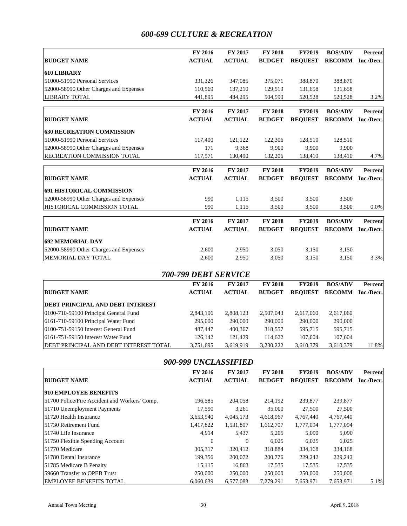## *600-699 CULTURE & RECREATION*

|                                        | <b>FY 2016</b> | <b>FY 2017</b> | <b>FY 2018</b> | <b>FY2019</b>  | <b>BOS/ADV</b>    | Percent    |
|----------------------------------------|----------------|----------------|----------------|----------------|-------------------|------------|
| <b>BUDGET NAME</b>                     | <b>ACTUAL</b>  | <b>ACTUAL</b>  | <b>BUDGET</b>  | <b>REOUEST</b> | <b>RECOMM</b>     | Inc./Decr. |
| <b>610 LIBRARY</b>                     |                |                |                |                |                   |            |
| 51000-51990 Personal Services          | 331,326        | 347,085        | 375,071        | 388,870        | 388,870           |            |
| 52000-58990 Other Charges and Expenses | 110,569        | 137,210        | 129,519        | 131,658        | 131,658           |            |
| <b>LIBRARY TOTAL</b>                   | 441,895        | 484,295        | 504,590        | 520,528        | 520,528           | 3.2%       |
|                                        | <b>FY 2016</b> | <b>FY 2017</b> | <b>FY 2018</b> | <b>FY2019</b>  | <b>BOS/ADV</b>    | Percent    |
| <b>BUDGET NAME</b>                     | <b>ACTUAL</b>  | <b>ACTUAL</b>  | <b>BUDGET</b>  | <b>REOUEST</b> | <b>RECOMM</b>     | Inc./Decr. |
| <b>630 RECREATION COMMISSION</b>       |                |                |                |                |                   |            |
| 51000-51990 Personal Services          | 117,400        | 121,122        | 122,306        | 128,510        | 128,510           |            |
| 52000-58990 Other Charges and Expenses | 171            | 9.368          | 9.900          | 9.900          | 9.900             |            |
| <b>RECREATION COMMISSION TOTAL</b>     | 117,571        | 130,490        | 132,206        | 138,410        | 138,410           | 4.7%       |
|                                        | FY 2016        | <b>FY 2017</b> | <b>FY 2018</b> | <b>FY2019</b>  | <b>BOS/ADV</b>    | Percent    |
| <b>BUDGET NAME</b>                     | <b>ACTUAL</b>  | <b>ACTUAL</b>  | <b>BUDGET</b>  | <b>REOUEST</b> | <b>RECOMM</b>     | Inc./Decr. |
| <b>691 HISTORICAL COMMISSION</b>       |                |                |                |                |                   |            |
| 52000-58990 Other Charges and Expenses | 990            | 1.115          | 3.500          | 3.500          | 3.500             |            |
| HISTORICAL COMMISSION TOTAL            | 990            | 1.115          | 3,500          | 3,500          | 3,500             | $0.0\%$    |
|                                        | FY 2016        | FY 2017        | <b>FY 2018</b> | <b>FY2019</b>  | <b>BOS/ADV</b>    | Percent    |
| <b>BUDGET NAME</b>                     | <b>ACTUAL</b>  | <b>ACTUAL</b>  | <b>BUDGET</b>  | <b>REOUEST</b> | RECOMM Inc./Decr. |            |
| <b>692 MEMORIAL DAY</b>                |                |                |                |                |                   |            |
| 52000-58990 Other Charges and Expenses | 2,600          | 2,950          | 3,050          | 3,150          | 3,150             |            |
| <b>MEMORIAL DAY TOTAL</b>              | 2.600          | 2.950          | 3.050          | 3.150          | 3.150             | 3.3%       |

|                                               | 700-799 DEBT SERVICE |                |                |                |                |            |
|-----------------------------------------------|----------------------|----------------|----------------|----------------|----------------|------------|
|                                               | <b>FY 2016</b>       | <b>FY 2017</b> | <b>FY 2018</b> | <b>FY2019</b>  | <b>BOS/ADV</b> | Percent    |
| <b>BUDGET NAME</b>                            | <b>ACTUAL</b>        | <b>ACTUAL</b>  | <b>BUDGET</b>  | <b>REOUEST</b> | <b>RECOMM</b>  | Inc./Decr. |
| <b>DEBT PRINCIPAL AND DEBT INTEREST</b>       |                      |                |                |                |                |            |
| 0100-710-59100 Principal General Fund         | 2,843,106            | 2,808,123      | 2,507,043      | 2,617,060      | 2,617,060      |            |
| 6161-710-59100 Principal Water Fund           | 295,000              | 290,000        | 290,000        | 290,000        | 290,000        |            |
| 0100-751-59150 Interest General Fund          | 487,447              | 400,367        | 318,557        | 595,715        | 595,715        |            |
| 16161-751-59150 Interest Water Fund           | 126,142              | 121.429        | 114,622        | 107,604        | 107,604        |            |
| <b>DEBT PRINCIPAL AND DEBT INTEREST TOTAL</b> | 3,751,695            | 3,619,919      | 3,230,222      | 3,610,379      | 3,610,379      | 11.8%      |

| 900-999 UNCLASSIFIED                          |               |                |                |                |                |            |
|-----------------------------------------------|---------------|----------------|----------------|----------------|----------------|------------|
|                                               | FY 2016       | <b>FY 2017</b> | <b>FY 2018</b> | <b>FY2019</b>  | <b>BOS/ADV</b> | Percent    |
| <b>BUDGET NAME</b>                            | <b>ACTUAL</b> | <b>ACTUAL</b>  | <b>BUDGET</b>  | <b>REQUEST</b> | <b>RECOMM</b>  | Inc./Decr. |
| <b>910 EMPLOYEE BENEFITS</b>                  |               |                |                |                |                |            |
| 51700 Police/Fire Accident and Workers' Comp. | 196,585       | 204,058        | 214,192        | 239,877        | 239,877        |            |
| 51710 Unemployment Payments                   | 17,590        | 3,261          | 35,000         | 27,500         | 27,500         |            |
| 151720 Health Insurance                       | 3,653,940     | 4,045,173      | 4,618,967      | 4,767,440      | 4,767,440      |            |
| 151730 Retirement Fund                        | 1,417,822     | 1,531,807      | 1,612,707      | 1,777,094      | 1,777,094      |            |
| 51740 Life Insurance                          | 4,914         | 5,437          | 5,205          | 5,090          | 5,090          |            |
| 51750 Flexible Spending Account               | 0             | $\Omega$       | 6.025          | 6,025          | 6,025          |            |
| 51770 Medicare                                | 305,317       | 320,412        | 318,884        | 334,168        | 334,168        |            |
| 51780 Dental Insurance                        | 199,356       | 200,072        | 200,776        | 229,242        | 229,242        |            |
| 51785 Medicare B Penalty                      | 15,115        | 16,863         | 17,535         | 17,535         | 17,535         |            |
| 59660 Transfer to OPEB Trust                  | 250,000       | 250,000        | 250,000        | 250,000        | 250,000        |            |
| <b>EMPLOYEE BENEFITS TOTAL</b>                | 6,060,639     | 6.577.083      | 7,279,291      | 7,653,971      | 7,653,971      | 5.1%       |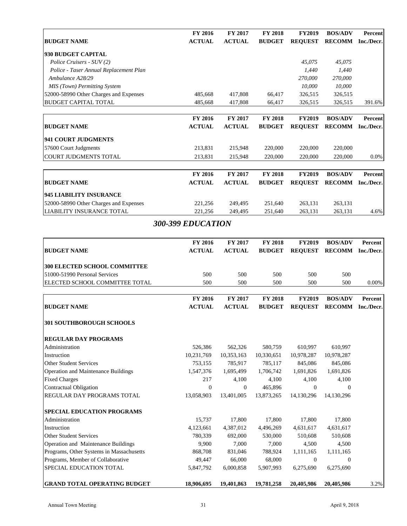|                                        | <b>FY 2016</b> | <b>FY 2017</b> | <b>FY 2018</b> | <b>FY2019</b>  | <b>BOS/ADV</b> | Percent    |
|----------------------------------------|----------------|----------------|----------------|----------------|----------------|------------|
| <b>BUDGET NAME</b>                     | <b>ACTUAL</b>  | <b>ACTUAL</b>  | <b>BUDGET</b>  | <b>REQUEST</b> | <b>RECOMM</b>  | Inc./Decr. |
| 930 BUDGET CAPITAL                     |                |                |                |                |                |            |
| Police Cruisers - SUV (2)              |                |                |                | 45,075         | 45,075         |            |
| Police - Taser Annual Replacement Plan |                |                |                | 1,440          | 1,440          |            |
| Ambulance A28/29                       |                |                |                | 270,000        | 270,000        |            |
| MIS (Town) Permitting System           |                |                |                | 10,000         | 10,000         |            |
| 52000-58990 Other Charges and Expenses | 485.668        | 417,808        | 66,417         | 326,515        | 326,515        |            |
| <b>BUDGET CAPITAL TOTAL</b>            | 485,668        | 417,808        | 66,417         | 326,515        | 326,515        | 391.6%     |
|                                        |                |                |                |                |                |            |
|                                        | <b>FY 2016</b> | <b>FY 2017</b> | <b>FY 2018</b> | <b>FY2019</b>  | <b>BOS/ADV</b> | Percent    |
| <b>BUDGET NAME</b>                     | <b>ACTUAL</b>  | <b>ACTUAL</b>  | <b>BUDGET</b>  | <b>REQUEST</b> | <b>RECOMM</b>  | Inc./Decr. |
| 941 COURT JUDGMENTS                    |                |                |                |                |                |            |
| 57600 Court Judgments                  | 213,831        | 215,948        | 220,000        | 220,000        | 220,000        |            |
| <b>COURT JUDGMENTS TOTAL</b>           | 213,831        | 215,948        | 220,000        | 220,000        | 220,000        | 0.0%       |
|                                        |                |                |                |                |                |            |
|                                        | FY 2016        | <b>FY 2017</b> | <b>FY 2018</b> | <b>FY2019</b>  | <b>BOS/ADV</b> | Percent    |
| <b>BUDGET NAME</b>                     | <b>ACTUAL</b>  | <b>ACTUAL</b>  | <b>BUDGET</b>  | <b>REQUEST</b> | <b>RECOMM</b>  | Inc./Decr. |
| <b>945 LIABILITY INSURANCE</b>         |                |                |                |                |                |            |
| 52000-58990 Other Charges and Expenses | 221,256        | 249,495        | 251,640        | 263,131        | 263,131        |            |
| <b>LIABILITY INSURANCE TOTAL</b>       | 221,256        | 249,495        | 251,640        | 263,131        | 263,131        | 4.6%       |

### *300-399 EDUCATION*

|                                            | <b>FY 2016</b> | FY 2017        | <b>FY 2018</b> | <b>FY2019</b>  | <b>BOS/ADV</b> | Percent    |
|--------------------------------------------|----------------|----------------|----------------|----------------|----------------|------------|
| <b>BUDGET NAME</b>                         | <b>ACTUAL</b>  | <b>ACTUAL</b>  | <b>BUDGET</b>  | <b>REQUEST</b> | <b>RECOMM</b>  | Inc./Decr. |
| <b>300 ELECTED SCHOOL COMMITTEE</b>        |                |                |                |                |                |            |
| 51000-51990 Personal Services              | 500            | 500            | 500            | 500            | 500            |            |
| ELECTED SCHOOL COMMITTEE TOTAL             | 500            | 500            | 500            | 500            | 500            | 0.00%      |
|                                            | <b>FY 2016</b> | <b>FY 2017</b> | <b>FY 2018</b> | <b>FY2019</b>  | <b>BOS/ADV</b> | Percent    |
| <b>BUDGET NAME</b>                         | <b>ACTUAL</b>  | <b>ACTUAL</b>  | <b>BUDGET</b>  | <b>REQUEST</b> | <b>RECOMM</b>  | Inc./Decr. |
| <b>301 SOUTHBOROUGH SCHOOLS</b>            |                |                |                |                |                |            |
| <b>REGULAR DAY PROGRAMS</b>                |                |                |                |                |                |            |
| Administration                             | 526,386        | 562,326        | 580,759        | 610,997        | 610,997        |            |
| Instruction                                | 10,231,769     | 10,353,163     | 10,330,651     | 10,978,287     | 10,978,287     |            |
| <b>Other Student Services</b>              | 753,155        | 785,917        | 785,117        | 845,086        | 845,086        |            |
| <b>Operation and Maintenance Buildings</b> | 1,547,376      | 1,695,499      | 1,706,742      | 1,691,826      | 1,691,826      |            |
| <b>Fixed Charges</b>                       | 217            | 4,100          | 4,100          | 4,100          | 4,100          |            |
| <b>Contractual Obligation</b>              | $\Omega$       | $\Omega$       | 465,896        | $\Omega$       | $\Omega$       |            |
| REGULAR DAY PROGRAMS TOTAL                 | 13,058,903     | 13,401,005     | 13,873,265     | 14,130,296     | 14,130,296     |            |
| <b>SPECIAL EDUCATION PROGRAMS</b>          |                |                |                |                |                |            |
| Administration                             | 15,737         | 17,800         | 17,800         | 17,800         | 17,800         |            |
| Instruction                                | 4,123,661      | 4,387,012      | 4,496,269      | 4,631,617      | 4,631,617      |            |
| <b>Other Student Services</b>              | 780,339        | 692,000        | 530,000        | 510,608        | 510,608        |            |
| Operation and Maintenance Buildings        | 9,900          | 7,000          | 7,000          | 4,500          | 4,500          |            |
| Programs, Other Systems in Massachusetts   | 868,708        | 831,046        | 788,924        | 1,111,165      | 1,111,165      |            |
| Programs, Member of Collaborative          | 49,447         | 66,000         | 68,000         | $\Omega$       | $\Omega$       |            |
| SPECIAL EDUCATION TOTAL                    | 5,847,792      | 6,000,858      | 5,907,993      | 6,275,690      | 6,275,690      |            |
| <b>GRAND TOTAL OPERATING BUDGET</b>        | 18,906,695     | 19,401,863     | 19,781,258     | 20,405,986     | 20,405,986     | 3.2%       |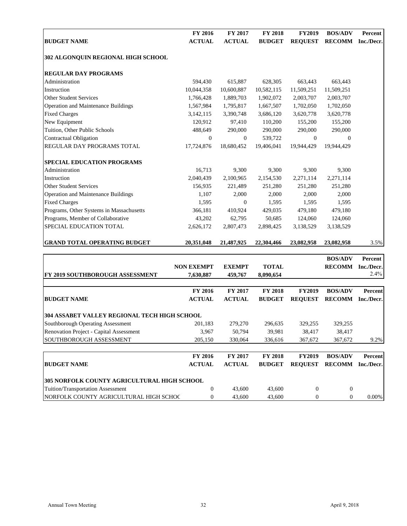|                                          | <b>FY 2016</b> | <b>FY 2017</b> | <b>FY 2018</b> | <b>FY2019</b>  | <b>BOS/ADV</b> | Percent    |
|------------------------------------------|----------------|----------------|----------------|----------------|----------------|------------|
| <b>BUDGET NAME</b>                       | <b>ACTUAL</b>  | <b>ACTUAL</b>  | <b>BUDGET</b>  | <b>REQUEST</b> | <b>RECOMM</b>  | Inc./Decr. |
| 302 ALGONQUIN REGIONAL HIGH SCHOOL       |                |                |                |                |                |            |
| <b>REGULAR DAY PROGRAMS</b>              |                |                |                |                |                |            |
| Administration                           | 594.430        | 615,887        | 628,305        | 663,443        | 663,443        |            |
| Instruction                              | 10,044,358     | 10,600,887     | 10,582,115     | 11,509,251     | 11,509,251     |            |
| <b>Other Student Services</b>            | 1,766,428      | 1,889,703      | 1,902,072      | 2,003,707      | 2,003,707      |            |
| Operation and Maintenance Buildings      | 1,567,984      | 1,795,817      | 1,667,507      | 1,702,050      | 1,702,050      |            |
| <b>Fixed Charges</b>                     | 3,142,115      | 3,390,748      | 3,686,120      | 3,620,778      | 3,620,778      |            |
| New Equipment                            | 120,912        | 97,410         | 110,200        | 155,200        | 155,200        |            |
| Tuition, Other Public Schools            | 488,649        | 290,000        | 290,000        | 290,000        | 290,000        |            |
| Contractual Obligation                   | $\mathbf{0}$   | $\overline{0}$ | 539,722        | $\mathbf{0}$   | 0              |            |
| <b>REGULAR DAY PROGRAMS TOTAL</b>        | 17,724,876     | 18,680,452     | 19.406.041     | 19.944.429     | 19.944.429     |            |
| <b>SPECIAL EDUCATION PROGRAMS</b>        |                |                |                |                |                |            |
| Administration                           | 16,713         | 9,300          | 9,300          | 9,300          | 9.300          |            |
| Instruction                              | 2,040,439      | 2,100,965      | 2,154,530      | 2,271,114      | 2,271,114      |            |
| <b>Other Student Services</b>            | 156,935        | 221,489        | 251,280        | 251,280        | 251,280        |            |
| Operation and Maintenance Buildings      | 1,107          | 2,000          | 2,000          | 2.000          | 2,000          |            |
| <b>Fixed Charges</b>                     | 1,595          | $\Omega$       | 1,595          | 1,595          | 1,595          |            |
| Programs, Other Systems in Massachusetts | 366,181        | 410,924        | 429,035        | 479,180        | 479,180        |            |
| Programs, Member of Collaborative        | 43,202         | 62,795         | 50,685         | 124,060        | 124,060        |            |
| SPECIAL EDUCATION TOTAL                  | 2,626,172      | 2,807,473      | 2,898,425      | 3,138,529      | 3,138,529      |            |
| <b>GRAND TOTAL OPERATING BUDGET</b>      | 20,351,048     | 21,487,925     | 22,304,466     | 23,082,958     | 23,082,958     | 3.5%       |

|                                                     |                   |                |                |                | <b>BOS/ADV</b> | Percent    |
|-----------------------------------------------------|-------------------|----------------|----------------|----------------|----------------|------------|
|                                                     | <b>NON EXEMPT</b> | <b>EXEMPT</b>  | <b>TOTAL</b>   |                | <b>RECOMM</b>  | Inc./Decr. |
| <b>[FY 2019 SOUTHBOROUGH ASSESSMENT</b>             | 7,630,887         | 459,767        | 8,090,654      |                |                | $2.4\%$    |
|                                                     | <b>FY 2016</b>    | <b>FY 2017</b> | <b>FY 2018</b> | <b>FY2019</b>  | <b>BOS/ADV</b> | Percent    |
| <b>BUDGET NAME</b>                                  | <b>ACTUAL</b>     | <b>ACTUAL</b>  | <b>BUDGET</b>  | <b>REQUEST</b> | <b>RECOMM</b>  | Inc./Decr. |
| <b>304 ASSABET VALLEY REGIONAL TECH HIGH SCHOOL</b> |                   |                |                |                |                |            |
| Southborough Operating Assessment                   | 201,183           | 279,270        | 296,635        | 329,255        | 329,255        |            |
| <b>Renovation Project - Capital Assessment</b>      | 3,967             | 50,794         | 39,981         | 38,417         | 38,417         |            |
| SOUTHBOROUGH ASSESSMENT                             | 205,150           | 330,064        | 336,616        | 367,672        | 367,672        | 9.2%       |
|                                                     | <b>FY 2016</b>    | <b>FY 2017</b> | <b>FY 2018</b> | <b>FY2019</b>  | <b>BOS/ADV</b> | Percent    |
| <b>BUDGET NAME</b>                                  | <b>ACTUAL</b>     | <b>ACTUAL</b>  | <b>BUDGET</b>  | <b>REQUEST</b> | <b>RECOMM</b>  | Inc./Decr. |
| <b>305 NORFOLK COUNTY AGRICULTURAL HIGH SCHOOL</b>  |                   |                |                |                |                |            |
| Tuition/Transportation Assessment                   | $\Omega$          | 43,600         | 43,600         | $\Omega$       | $\Omega$       |            |
| NORFOLK COUNTY AGRICULTURAL HIGH SCHOC              | 0                 | 43,600         | 43,600         | $\Omega$       | $\theta$       | 0.00%      |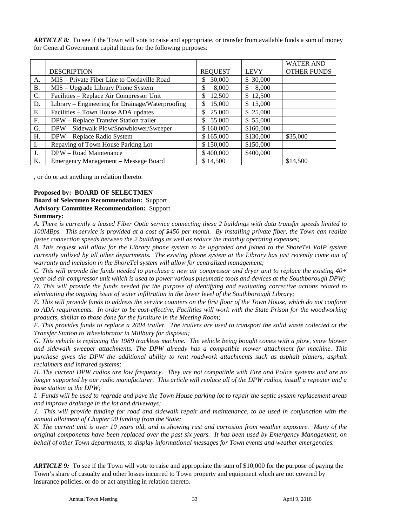*ARTICLE 8:* To see if the Town will vote to raise and appropriate, or transfer from available funds a sum of money for General Government capital items for the following purposes:

|    |                                                  |                |             | <b>WATER AND</b>   |
|----|--------------------------------------------------|----------------|-------------|--------------------|
|    | <b>DESCRIPTION</b>                               | <b>REQUEST</b> | <b>LEVY</b> | <b>OTHER FUNDS</b> |
| A. | MIS – Private Fiber Line to Cordaville Road      | 30,000<br>S    | \$30,000    |                    |
| Β. | MIS - Upgrade Library Phone System               | 8,000<br>\$    | 8,000<br>\$ |                    |
| C. | Facilities - Replace Air Compressor Unit         | \$<br>12,500   | \$12,500    |                    |
| D. | Library – Engineering for Drainage/Waterproofing | 15,000<br>\$   | \$15,000    |                    |
| Е. | Facilities – Town House ADA updates              | \$<br>25,000   | \$25,000    |                    |
| F. | DPW - Replace Transfer Station trailer           | 55,000<br>S    | \$55,000    |                    |
| G. | DPW - Sidewalk Plow/Snowblower/Sweeper           | \$160,000      | \$160,000   |                    |
| H. | DPW - Replace Radio System                       | \$165,000      | \$130,000   | \$35,000           |
| L. | Repaving of Town House Parking Lot               | \$150,000      | \$150,000   |                    |
| J. | DPW - Road Maintenance                           | \$400,000      | \$400,000   |                    |
| Κ. | Emergency Management - Message Board             | \$14,500       |             | \$14,500           |

, or do or act anything in relation thereto.

#### **Proposed by: BOARD OF SELECTMEN**

#### **Board of Selectmen Recommendation:** Support **Advisory Committee Recommendation:** Support **Summary:**

*A. There is currently a leased Fiber Optic service connecting these 2 buildings with data transfer speeds limited to 100MBps. This service is provided at a cost of \$450 per month. By installing private fiber, the Town can realize faster connection speeds between the 2 buildings as well as reduce the monthly operating expenses;*

*B. This request will allow for the Library phone system to be upgraded and joined to the ShoreTel VoIP system currently utilized by all other departments. The existing phone system at the Library has just recently come out of warranty and inclusion in the ShoreTel system will allow for centralized management;*

*C. This will provide the funds needed to purchase a new air compressor and dryer unit to replace the existing 40+ year old air compressor unit which is used to power various pneumatic tools and devices at the Southborough DPW; D. This will provide the funds needed for the purpose of identifying and evaluating corrective actions related to eliminating the ongoing issue of water infiltration in the lower level of the Southborough Library;* 

*E. This will provide funds to address the service counters on the first floor of the Town House, which do not conform to ADA requirements. In order to be cost-effective, Facilities will work with the State Prison for the woodworking products, similar to those done for the furniture in the Meeting Room;*

*F. This provides funds to replace a 2004 trailer. The trailers are used to transport the solid waste collected at the Transfer Station to Wheelabrator in Millbury for disposal;*

*G. This vehicle is replacing the 1989 trackless machine. The vehicle being bought comes with a plow, snow blower and sidewalk sweeper attachments. The DPW already has a compatible mower attachment for machine. This purchase gives the DPW the additional ability to rent roadwork attachments such as asphalt planers, asphalt reclaimers and infrared systems;*

*H. The current DPW radios are low frequency. They are not compatible with Fire and Police systems and are no*  longer supported by our radio manufacturer. This article will replace all of the DPW radios, install a repeater and a *base station at the DPW;*

*I. Funds will be used to regrade and pave the Town House parking lot to repair the septic system replacement areas and improve drainage in the lot and driveways;*

*J. This will provide funding for road and sidewalk repair and maintenance, to be used in conjunction with the annual allotment of Chapter 90 funding from the State;*

*K. The current unit is over 10 years old, and is showing rust and corrosion from weather exposure. Many of the original components have been replaced over the past six years. It has been used by Emergency Management, on behalf of other Town departments, to display informational messages for Town events and weather emergencies.*

*ARTICLE 9:* To see if the Town will vote to raise and appropriate the sum of \$10,000 for the purpose of paying the Town's share of casualty and other losses incurred to Town property and equipment which are not covered by insurance policies, or do or act anything in relation thereto.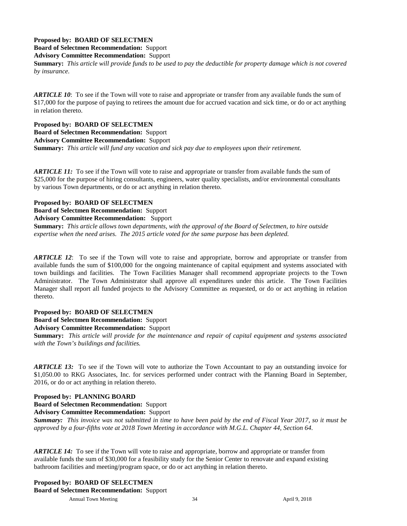#### **Proposed by: BOARD OF SELECTMEN**

**Board of Selectmen Recommendation:** Support

**Advisory Committee Recommendation:** Support

**Summary:** *This article will provide funds to be used to pay the deductible for property damage which is not covered by insurance.*

*ARTICLE 10*: To see if the Town will vote to raise and appropriate or transfer from any available funds the sum of \$17,000 for the purpose of paying to retirees the amount due for accrued vacation and sick time, or do or act anything in relation thereto.

**Proposed by: BOARD OF SELECTMEN**

**Board of Selectmen Recommendation:** Support

**Advisory Committee Recommendation:** Support

**Summary:** *This article will fund any vacation and sick pay due to employees upon their retirement.*

*ARTICLE 11:* To see if the Town will vote to raise and appropriate or transfer from available funds the sum of \$25,000 for the purpose of hiring consultants, engineers, water quality specialists, and/or environmental consultants by various Town departments, or do or act anything in relation thereto.

#### **Proposed by: BOARD OF SELECTMEN**

**Board of Selectmen Recommendation:** Support

**Advisory Committee Recommendation:** Support

**Summary:** *This article allows town departments, with the approval of the Board of Selectmen, to hire outside expertise when the need arises. The 2015 article voted for the same purpose has been depleted.*

*ARTICLE 12*: To see if the Town will vote to raise and appropriate, borrow and appropriate or transfer from available funds the sum of \$100,000 for the ongoing maintenance of capital equipment and systems associated with town buildings and facilities. The Town Facilities Manager shall recommend appropriate projects to the Town Administrator. The Town Administrator shall approve all expenditures under this article. The Town Facilities Manager shall report all funded projects to the Advisory Committee as requested, or do or act anything in relation thereto.

#### **Proposed by: BOARD OF SELECTMEN**

**Board of Selectmen Recommendation:** Support

**Advisory Committee Recommendation:** Support

**Summary:** *This article will provide for the maintenance and repair of capital equipment and systems associated with the Town's buildings and facilities.*

*ARTICLE 13:* To see if the Town will vote to authorize the Town Accountant to pay an outstanding invoice for \$1,050.00 to RKG Associates, Inc. for services performed under contract with the Planning Board in September, 2016, or do or act anything in relation thereto.

#### **Proposed by: PLANNING BOARD**

**Board of Selectmen Recommendation:** Support

**Advisory Committee Recommendation:** Support

*Summary: This invoice was not submitted in time to have been paid by the end of Fiscal Year 2017, so it must be approved by a four-fifths vote at 2018 Town Meeting in accordance with M.G.L. Chapter 44, Section 64.*

*ARTICLE 14:* To see if the Town will vote to raise and appropriate, borrow and appropriate or transfer from available funds the sum of \$30,000 for a feasibility study for the Senior Center to renovate and expand existing bathroom facilities and meeting/program space, or do or act anything in relation thereto.

Annual Town Meeting 34 34 April 9, 2018 **Proposed by: BOARD OF SELECTMEN Board of Selectmen Recommendation:** Support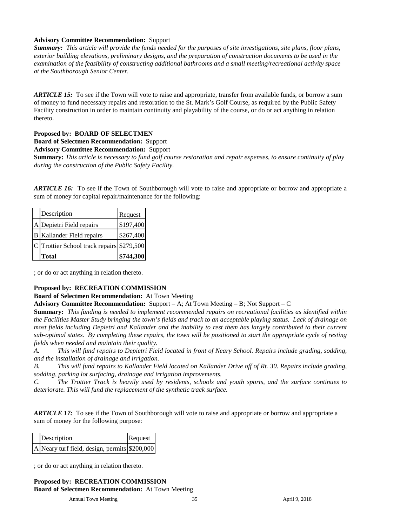#### **Advisory Committee Recommendation:** Support

*Summary: This article will provide the funds needed for the purposes of site investigations, site plans, floor plans, exterior building elevations, preliminary designs, and the preparation of construction documents to be used in the examination of the feasibility of constructing additional bathrooms and a small meeting/recreational activity space at the Southborough Senior Center.*

*ARTICLE 15:* To see if the Town will vote to raise and appropriate, transfer from available funds, or borrow a sum of money to fund necessary repairs and restoration to the St. Mark's Golf Course, as required by the Public Safety Facility construction in order to maintain continuity and playability of the course, or do or act anything in relation thereto.

#### **Proposed by: BOARD OF SELECTMEN**

**Board of Selectmen Recommendation:** Support

**Advisory Committee Recommendation:** Support

**Summary:** *This article is necessary to fund golf course restoration and repair expenses, to ensure continuity of play during the construction of the Public Safety Facility.*

*ARTICLE 16:* To see if the Town of Southborough will vote to raise and appropriate or borrow and appropriate a sum of money for capital repair/maintenance for the following:

| Description                               | Request   |
|-------------------------------------------|-----------|
| A Depietri Field repairs                  | \$197,400 |
| <b>B</b> Kallander Field repairs          | \$267,400 |
| C Trottier School track repairs \$279,500 |           |
| <b>Total</b>                              | \$744,300 |

; or do or act anything in relation thereto.

#### **Proposed by: RECREATION COMMISSION**

#### **Board of Selectmen Recommendation:** At Town Meeting

**Advisory Committee Recommendation:** Support – A; At Town Meeting – B; Not Support – C

**Summary:** *This funding is needed to implement recommended repairs on recreational facilities as identified within the Facilities Master Study bringing the town's fields and track to an acceptable playing status. Lack of drainage on most fields including Depietri and Kallander and the inability to rest them has largely contributed to their current sub-optimal states. By completing these repairs, the town will be positioned to start the appropriate cycle of resting fields when needed and maintain their quality.*

*A. This will fund repairs to Depietri Field located in front of Neary School. Repairs include grading, sodding, and the installation of drainage and irrigation.* 

*B. This will fund repairs to Kallander Field located on Kallander Drive off of Rt. 30. Repairs include grading, sodding, parking lot surfacing, drainage and irrigation improvements.* 

*C. The Trottier Track is heavily used by residents, schools and youth sports, and the surface continues to deteriorate. This will fund the replacement of the synthetic track surface.* 

*ARTICLE 17:* To see if the Town of Southborough will vote to raise and appropriate or borrow and appropriate a sum of money for the following purpose:

| Description                                   | Request |
|-----------------------------------------------|---------|
| A Neary turf field, design, permits \$200,000 |         |

; or do or act anything in relation thereto.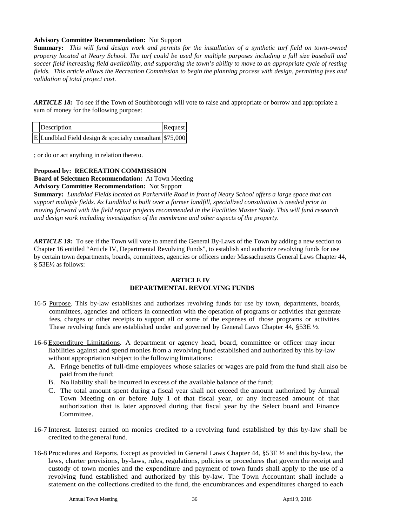#### **Advisory Committee Recommendation:** Not Support

**Summary:** *This will fund design work and permits for the installation of a synthetic turf field on town-owned property located at Neary School. The turf could be used for multiple purposes including a full size baseball and soccer field increasing field availability, and supporting the town's ability to move to an appropriate cycle of resting fields. This article allows the Recreation Commission to begin the planning process with design, permitting fees and validation of total project cost.*

*ARTICLE 18:* To see if the Town of Southborough will vote to raise and appropriate or borrow and appropriate a sum of money for the following purpose:

| Description                                            | Request |
|--------------------------------------------------------|---------|
| ELundblad Field design & specialty consultant \$75,000 |         |

; or do or act anything in relation thereto.

## **Proposed by: RECREATION COMMISSION**

**Board of Selectmen Recommendation:** At Town Meeting

#### **Advisory Committee Recommendation:** Not Support

**Summary:** *Lundblad Fields located on Parkerville Road in front of Neary School offers a large space that can support multiple fields. As Lundblad is built over a former landfill, specialized consultation is needed prior to moving forward with the field repair projects recommended in the Facilities Master Study. This will fund research and design work including investigation of the membrane and other aspects of the property.*

*ARTICLE 19:* To see if the Town will vote to amend the General By-Laws of the Town by adding a new section to Chapter 16 entitled "Article IV, Departmental Revolving Funds", to establish and authorize revolving funds for use by certain town departments, boards, committees, agencies or officers under Massachusetts General Laws Chapter 44, § 53E½ as follows:

#### **ARTICLE IV DEPARTMENTAL REVOLVING FUNDS**

- 16-5 Purpose. This by-law establishes and authorizes revolving funds for use by town, departments, boards, committees, agencies and officers in connection with the operation of programs or activities that generate fees, charges or other receipts to support all or some of the expenses of those programs or activities. These revolving funds are established under and governed by General Laws Chapter 44,  $\S 53E \frac{1}{2}$ .
- 16-6 Expenditure Limitations. A department or agency head, board, committee or officer may incur liabilities against and spend monies from a revolving fund established and authorized by this by-law without appropriation subject to the following limitations:
	- A. Fringe benefits of full-time employees whose salaries or wages are paid from the fund shall also be paid from the fund;
	- B. No liability shall be incurred in excess of the available balance of the fund;
	- C. The total amount spent during a fiscal year shall not exceed the amount authorized by Annual Town Meeting on or before July 1 of that fiscal year, or any increased amount of that authorization that is later approved during that fiscal year by the Select board and Finance Committee.
- 16-7 Interest. Interest earned on monies credited to a revolving fund established by this by-law shall be credited to the general fund.
- 16-8 Procedures and Reports. Except as provided in General Laws Chapter 44, §53E ½ and this by-law, the laws, charter provisions, by-laws, rules, regulations, policies or procedures that govern the receipt and custody of town monies and the expenditure and payment of town funds shall apply to the use of a revolving fund established and authorized by this by-law. The Town Accountant shall include a statement on the collections credited to the fund, the encumbrances and expenditures charged to each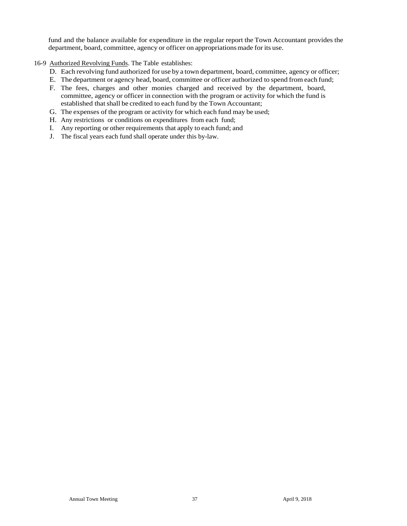fund and the balance available for expenditure in the regular report the Town Accountant provides the department, board, committee, agency or officer on appropriations made for its use.

#### 16-9 Authorized Revolving Funds. The Table establishes:

- D. Each revolving fund authorized for use by a town department, board, committee, agency or officer;
- E. The department or agency head, board, committee or officer authorized to spend from each fund;
- F. The fees, charges and other monies charged and received by the department, board, committee, agency or officer in connection with the program or activity for which the fund is established that shall be credited to each fund by the Town Accountant;
- G. The expenses of the program or activity for which each fund may be used;
- H. Any restrictions or conditions on expenditures from each fund;
- I. Any reporting or other requirements that apply to each fund; and
- J. The fiscal years each fund shall operate under this by-law.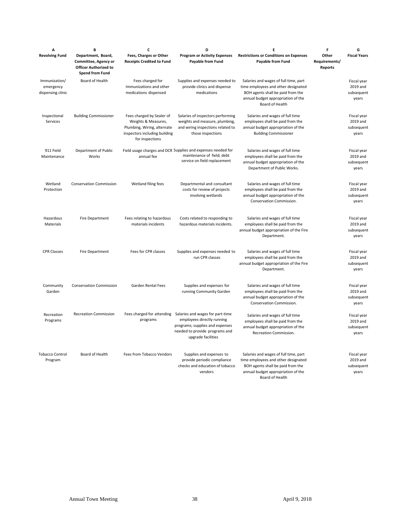| А                                               | B                                                                                                    | C                                                                                                                                   | D                                                                                                                                                                                    | Ε                                                                                                                                                                          | F                                        | G                                              |
|-------------------------------------------------|------------------------------------------------------------------------------------------------------|-------------------------------------------------------------------------------------------------------------------------------------|--------------------------------------------------------------------------------------------------------------------------------------------------------------------------------------|----------------------------------------------------------------------------------------------------------------------------------------------------------------------------|------------------------------------------|------------------------------------------------|
| <b>Revolving Fund</b>                           | Department, Board,<br>Committee, Agency or<br><b>Officer Authorized to</b><br><b>Spend from Fund</b> | Fees, Charges or Other<br><b>Receipts Credited to Fund</b>                                                                          | <b>Program or Activity Expenses</b><br>Payable from Fund                                                                                                                             | <b>Restrictions or Conditions on Expenses</b><br>Payable from Fund                                                                                                         | Other<br>Requirements/<br><b>Reports</b> | <b>Fiscal Years</b>                            |
| Immunization/<br>emergency<br>dispensing clinic | Board of Health                                                                                      | Fees charged for<br>Immunizations and other<br>medications dispensed                                                                | Supplies and expenses needed to<br>provide clinics and dispense<br>medications                                                                                                       | Salaries and wages of full time, part<br>time employees and other designated<br>BOH agents shall be paid from the<br>annual budget appropriation of the<br>Board of Health |                                          | Fiscal year<br>2019 and<br>subsequent<br>years |
| Inspectional<br>Services                        | <b>Building Commissioner</b>                                                                         | Fees charged by Sealer of<br>Weights & Measures,<br>Plumbing, Wiring, alternate<br>inspectors including building<br>for inspections | Salaries of inspectors performing<br>weights and measure, plumbing,<br>and wiring inspections related to<br>those inspections                                                        | Salaries and wages of full time<br>employees shall be paid from the<br>annual budget appropriation of the<br><b>Building Commissioner</b>                                  |                                          | Fiscal year<br>2019 and<br>subsequent<br>years |
| 911 Field<br>Maintenance                        | Department of Public<br>Works                                                                        | annual fee                                                                                                                          | Field usage charges and DCR Supplies and expenses needed for<br>maintenance of field; debt<br>service on field replacement                                                           | Salaries and wages of full time<br>employees shall be paid from the<br>annual budget appropriation of the<br>Department of Public Works.                                   |                                          | Fiscal year<br>2019 and<br>subsequent<br>years |
| Wetland<br>Protection                           | <b>Conservation Commission</b>                                                                       | Wetland filing fees                                                                                                                 | Departmental and consultant<br>costs for review of projects<br>involving wetlands                                                                                                    | Salaries and wages of full time<br>employees shall be paid from the<br>annual budget appropriation of the<br>Conservation Commission.                                      |                                          | Fiscal year<br>2019 and<br>subsequent<br>years |
| Hazardous<br>Materials                          | Fire Department                                                                                      | Fees relating to hazardous<br>materials incidents                                                                                   | Costs related to responding to<br>hazardous materials incidents.                                                                                                                     | Salaries and wages of full time<br>employees shall be paid from the<br>annual budget appropriation of the Fire<br>Department.                                              |                                          | Fiscal year<br>2019 and<br>subsequent<br>years |
| <b>CPR Classes</b>                              | Fire Department                                                                                      | Fees for CPR classes                                                                                                                | Supplies and expenses needed to<br>run CPR classes                                                                                                                                   | Salaries and wages of full time<br>employees shall be paid from the<br>annual budget appropriation of the Fire<br>Department.                                              |                                          | Fiscal year<br>2019 and<br>subsequent<br>years |
| Community<br>Garden                             | <b>Conservation Commission</b>                                                                       | Garden Rental Fees                                                                                                                  | Supplies and expenses for<br>running Community Garden                                                                                                                                | Salaries and wages of full time<br>employees shall be paid from the<br>annual budget appropriation of the<br>Conservation Commission.                                      |                                          | Fiscal year<br>2019 and<br>subsequent<br>years |
| Recreation<br>Programs                          | <b>Recreation Commission</b>                                                                         | programs                                                                                                                            | Fees charged for attending Salaries and wages for part-time<br>employees directly running<br>programs; supplies and expenses<br>needed to provide programs and<br>upgrade facilities | Salaries and wages of full time<br>employees shall be paid from the<br>annual budget appropriation of the<br>Recreation Commission.                                        |                                          | Fiscal year<br>2019 and<br>subsequent<br>years |
| <b>Tobacco Control</b><br>Program               | Board of Health                                                                                      | Fees from Tobacco Vendors                                                                                                           | Supplies and expenses to<br>provide periodic compliance<br>checks and education of tobacco<br>vendors                                                                                | Salaries and wages of full time, part<br>time employees and other designated<br>BOH agents shall be paid from the<br>annual budget appropriation of the<br>Board of Health |                                          | Fiscal year<br>2019 and<br>subsequent<br>years |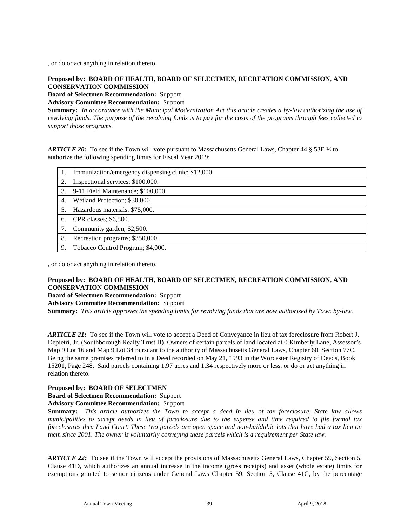, or do or act anything in relation thereto.

#### **Proposed by: BOARD OF HEALTH, BOARD OF SELECTMEN, RECREATION COMMISSION, AND CONSERVATION COMMISSION**

**Board of Selectmen Recommendation:** Support

**Advisory Committee Recommendation:** Support

**Summary:** *In accordance with the Municipal Modernization Act this article creates a by-law authorizing the use of revolving funds. The purpose of the revolving funds is to pay for the costs of the programs through fees collected to support those programs.* 

*ARTICLE 20:* To see if the Town will vote pursuant to Massachusetts General Laws, Chapter 44 § 53E ½ to authorize the following spending limits for Fiscal Year 2019:

|    | Immunization/emergency dispensing clinic; \$12,000. |
|----|-----------------------------------------------------|
|    | Inspectional services; \$100,000.                   |
| 3. | 9-11 Field Maintenance; \$100,000.                  |
| 4. | Wetland Protection; \$30,000.                       |
|    | Hazardous materials; \$75,000.                      |
| 6. | CPR classes; \$6,500.                               |
|    | Community garden; \$2,500.                          |
| 8. | Recreation programs; \$350,000.                     |
| 9. | Tobacco Control Program; \$4,000.                   |

, or do or act anything in relation thereto.

#### **Proposed by: BOARD OF HEALTH, BOARD OF SELECTMEN, RECREATION COMMISSION, AND CONSERVATION COMMISSION**

**Board of Selectmen Recommendation:** Support

**Advisory Committee Recommendation:** Support

**Summary:** *This article approves the spending limits for revolving funds that are now authorized by Town by-law.*

*ARTICLE 21:* To see if the Town will vote to accept a Deed of Conveyance in lieu of tax foreclosure from Robert J. Depietri, Jr. (Southborough Realty Trust II), Owners of certain parcels of land located at 0 Kimberly Lane, Assessor's Map 9 Lot 16 and Map 9 Lot 34 pursuant to the authority of Massachusetts General Laws, Chapter 60, Section 77C. Being the same premises referred to in a Deed recorded on May 21, 1993 in the Worcester Registry of Deeds, Book 15201, Page 248. Said parcels containing 1.97 acres and 1.34 respectively more or less, or do or act anything in relation thereto.

#### **Proposed by: BOARD OF SELECTMEN**

**Board of Selectmen Recommendation:** Support

**Advisory Committee Recommendation:** Support

**Summary:** *This article authorizes the Town to accept a deed in lieu of tax foreclosure. State law allows municipalities to accept deeds in lieu of foreclosure due to the expense and time required to file formal tax foreclosures thru Land Court. These two parcels are open space and non-buildable lots that have had a tax lien on them since 2001. The owner is voluntarily conveying these parcels which is a requirement per State law.*

*ARTICLE 22:* To see if the Town will accept the provisions of Massachusetts General Laws, Chapter 59, Section 5, Clause 41D, which authorizes an annual increase in the income (gross receipts) and asset (whole estate) limits for exemptions granted to senior citizens under General Laws Chapter 59, Section 5, Clause 41C, by the percentage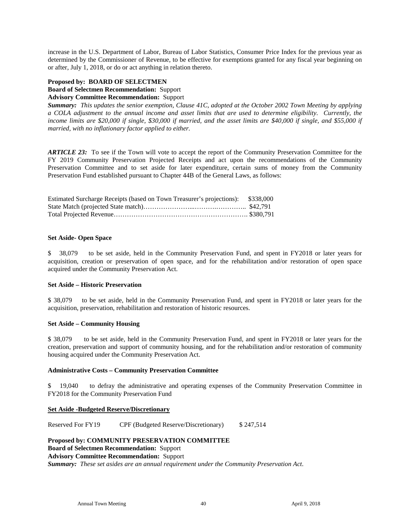increase in the U.S. Department of Labor, Bureau of Labor Statistics, Consumer Price Index for the previous year as determined by the Commissioner of Revenue, to be effective for exemptions granted for any fiscal year beginning on or after, July 1, 2018, or do or act anything in relation thereto.

#### **Proposed by: BOARD OF SELECTMEN**

**Board of Selectmen Recommendation:** Support

#### **Advisory Committee Recommendation:** Support

*Summary: This updates the senior exemption, Clause 41C, adopted at the October 2002 Town Meeting by applying a COLA adjustment to the annual income and asset limits that are used to determine eligibility. Currently, the*  income limits are \$20,000 if single, \$30,000 if married, and the asset limits are \$40,000 if single, and \$55,000 if *married, with no inflationary factor applied to either.*

*ARTICLE 23:* To see if the Town will vote to accept the report of the Community Preservation Committee for the FY 2019 Community Preservation Projected Receipts and act upon the recommendations of the Community Preservation Committee and to set aside for later expenditure, certain sums of money from the Community Preservation Fund established pursuant to Chapter 44B of the General Laws, as follows:

| Estimated Surcharge Receipts (based on Town Treasurer's projections): \$338,000 |  |
|---------------------------------------------------------------------------------|--|
|                                                                                 |  |
|                                                                                 |  |

#### **Set Aside- Open Space**

\$ 38,079 to be set aside, held in the Community Preservation Fund, and spent in FY2018 or later years for acquisition, creation or preservation of open space, and for the rehabilitation and/or restoration of open space acquired under the Community Preservation Act.

#### **Set Aside – Historic Preservation**

\$ 38,079 to be set aside, held in the Community Preservation Fund, and spent in FY2018 or later years for the acquisition, preservation, rehabilitation and restoration of historic resources.

#### **Set Aside – Community Housing**

\$ 38,079 to be set aside, held in the Community Preservation Fund, and spent in FY2018 or later years for the creation, preservation and support of community housing, and for the rehabilitation and/or restoration of community housing acquired under the Community Preservation Act.

#### **Administrative Costs – Community Preservation Committee**

\$ 19,040 to defray the administrative and operating expenses of the Community Preservation Committee in FY2018 for the Community Preservation Fund

#### **Set Aside -Budgeted Reserve/Discretionary**

Reserved For FY19 CPF (Budgeted Reserve/Discretionary) \$ 247,514

#### **Proposed by: COMMUNITY PRESERVATION COMMITTEE**

**Board of Selectmen Recommendation:** Support

**Advisory Committee Recommendation:** Support

*Summary:**These set asides are an annual requirement under the Community Preservation Act*.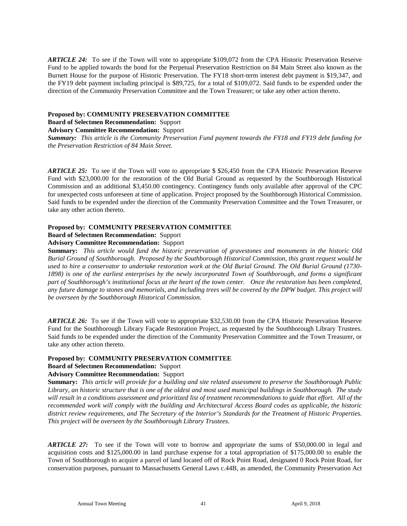*ARTICLE 24:* To see if the Town will vote to appropriate \$109,072 from the CPA Historic Preservation Reserve Fund to be applied towards the bond for the Perpetual Preservation Restriction on 84 Main Street also known as the Burnett House for the purpose of Historic Preservation. The FY18 short-term interest debt payment is \$19,347, and the FY19 debt payment including principal is \$89,725, for a total of \$109,072. Said funds to be expended under the direction of the Community Preservation Committee and the Town Treasurer; or take any other action thereto.

#### **Proposed by: COMMUNITY PRESERVATION COMMITTEE**

**Board of Selectmen Recommendation:** Support

**Advisory Committee Recommendation:** Support

*Summary:**This article is the Community Preservation Fund payment towards the FY18 and FY19 debt funding for the Preservation Restriction of 84 Main Street.* 

*ARTICLE 25:* To see if the Town will vote to appropriate \$ \$26,450 from the CPA Historic Preservation Reserve Fund with \$23,000.00 for the restoration of the Old Burial Ground as requested by the Southborough Historical Commission and an additional \$3,450.00 contingency. Contingency funds only available after approval of the CPC for unexpected costs unforeseen at time of application. Project proposed by the Southborough Historical Commission. Said funds to be expended under the direction of the Community Preservation Committee and the Town Treasurer, or take any other action thereto.

#### **Proposed by: COMMUNITY PRESERVATION COMMITTEE**

**Board of Selectmen Recommendation:** Support

#### **Advisory Committee Recommendation:** Support

**Summary:** *This article would fund the historic preservation of gravestones and monuments in the historic Old Burial Ground of Southborough. Proposed by the Southborough Historical Commission, this grant request would be used to hire a conservator to undertake restoration work at the Old Burial Ground. The Old Burial Ground (1730- 1898) is one of the earliest enterprises by the newly incorporated Town of Southborough, and forms a significant part of Southborough's institutional focus at the heart of the town center. Once the restoration has been completed,*  any future damage to stones and memorials, and including trees will be covered by the DPW budget. This project will *be overseen by the Southborough Historical Commission.*

*ARTICLE 26:* To see if the Town will vote to appropriate \$32,530.00 from the CPA Historic Preservation Reserve Fund for the Southborough Library Façade Restoration Project, as requested by the Southborough Library Trustees. Said funds to be expended under the direction of the Community Preservation Committee and the Town Treasurer, or take any other action thereto.

#### **Proposed by: COMMUNITY PRESERVATION COMMITTEE**

#### **Board of Selectmen Recommendation:** Support

#### **Advisory Committee Recommendation:** Support

**Summary:** *This article will provide for a building and site related assessment to preserve the Southborough Public Library, an historic structure that is one of the oldest and most used municipal buildings in Southborough. The study will result in a conditions assessment and prioritized list of treatment recommendations to guide that effort. All of the recommended work will comply with the building and Architectural Access Board codes as applicable, the historic district review requirements, and The Secretary of the Interior's Standards for the Treatment of Historic Properties. This project will be overseen by the Southborough Library Trustees.*

*ARTICLE 27:* To see if the Town will vote to borrow and appropriate the sums of \$50,000.00 in legal and acquisition costs and \$125,000.00 in land purchase expense for a total appropriation of \$175,000.00 to enable the Town of Southborough to acquire a parcel of land located off of Rock Point Road, designated 0 Rock Point Road, for conservation purposes, pursuant to Massachusetts General Laws c.44B, as amended, the Community Preservation Act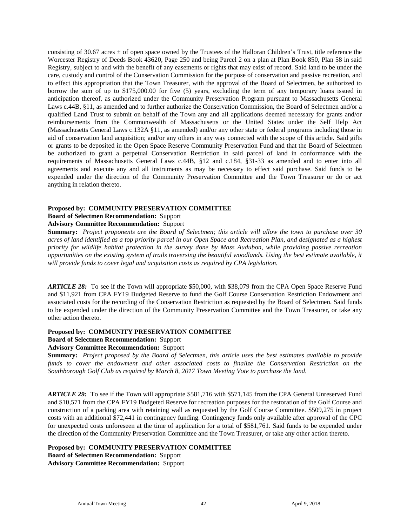consisting of 30.67 acres  $\pm$  of open space owned by the Trustees of the Halloran Children's Trust, title reference the Worcester Registry of Deeds Book 43620, Page 250 and being Parcel 2 on a plan at Plan Book 850, Plan 58 in said Registry, subject to and with the benefit of any easements or rights that may exist of record. Said land to be under the care, custody and control of the Conservation Commission for the purpose of conservation and passive recreation, and to effect this appropriation that the Town Treasurer, with the approval of the Board of Selectmen, be authorized to borrow the sum of up to \$175,000.00 for five (5) years, excluding the term of any temporary loans issued in anticipation thereof, as authorized under the Community Preservation Program pursuant to Massachusetts General Laws c.44B, §11, as amended and to further authorize the Conservation Commission, the Board of Selectmen and/or a qualified Land Trust to submit on behalf of the Town any and all applications deemed necessary for grants and/or reimbursements from the Commonwealth of Massachusetts or the United States under the Self Help Act (Massachusetts General Laws c.132A §11, as amended) and/or any other state or federal programs including those in aid of conservation land acquisition; and/or any others in any way connected with the scope of this article. Said gifts or grants to be deposited in the Open Space Reserve Community Preservation Fund and that the Board of Selectmen be authorized to grant a perpetual Conservation Restriction in said parcel of land in conformance with the requirements of Massachusetts General Laws c.44B, §12 and c.184, §31-33 as amended and to enter into all agreements and execute any and all instruments as may be necessary to effect said purchase. Said funds to be expended under the direction of the Community Preservation Committee and the Town Treasurer or do or act anything in relation thereto.

#### **Proposed by: COMMUNITY PRESERVATION COMMITTEE**

### **Board of Selectmen Recommendation:** Support

#### **Advisory Committee Recommendation:** Support

**Summary:** *Project proponents are the Board of Selectmen; this article will allow the town to purchase over 30 acres of land identified as a top priority parcel in our Open Space and Recreation Plan, and designated as a highest priority for wildlife habitat protection in the survey done by Mass Audubon, while providing passive recreation opportunities on the existing system of trails traversing the beautiful woodlands. Using the best estimate available, it will provide funds to cover legal and acquisition costs as required by CPA legislation.*

*ARTICLE 28:* To see if the Town will appropriate \$50,000, with \$38,079 from the CPA Open Space Reserve Fund and \$11,921 from CPA FY19 Budgeted Reserve to fund the Golf Course Conservation Restriction Endowment and associated costs for the recording of the Conservation Restriction as requested by the Board of Selectmen. Said funds to be expended under the direction of the Community Preservation Committee and the Town Treasurer, or take any other action thereto.

#### **Proposed by: COMMUNITY PRESERVATION COMMITTEE**

#### **Board of Selectmen Recommendation:** Support

#### **Advisory Committee Recommendation:** Support

**Summary:** *Project proposed by the Board of Selectmen, this article uses the best estimates available to provide funds to cover the endowment and other associated costs to finalize the Conservation Restriction on the Southborough Golf Club as required by March 8, 2017 Town Meeting Vote to purchase the land.*

*ARTICLE 29:* To see if the Town will appropriate \$581,716 with \$571,145 from the CPA General Unreserved Fund and \$10,571 from the CPA FY19 Budgeted Reserve for recreation purposes for the restoration of the Golf Course and construction of a parking area with retaining wall as requested by the Golf Course Committee. \$509,275 in project costs with an additional \$72,441 in contingency funding. Contingency funds only available after approval of the CPC for unexpected costs unforeseen at the time of application for a total of \$581,761. Said funds to be expended under the direction of the Community Preservation Committee and the Town Treasurer, or take any other action thereto.

#### **Proposed by: COMMUNITY PRESERVATION COMMITTEE**

**Board of Selectmen Recommendation:** Support **Advisory Committee Recommendation:** Support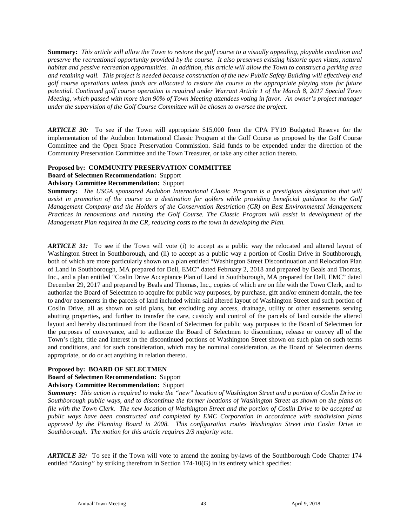**Summary:** *This article will allow the Town to restore the golf course to a visually appealing, playable condition and preserve the recreational opportunity provided by the course. It also preserves existing historic open vistas, natural habitat and passive recreation opportunities. In addition, this article will allow the Town to construct a parking area and retaining wall. This project is needed because construction of the new Public Safety Building will effectively end golf course operations unless funds are allocated to restore the course to the appropriate playing state for future potential. Continued golf course operation is required under Warrant Article 1 of the March 8, 2017 Special Town Meeting, which passed with more than 90% of Town Meeting attendees voting in favor. An owner's project manager under the supervision of the Golf Course Committee will be chosen to oversee the project.*

*ARTICLE 30:* To see if the Town will appropriate \$15,000 from the CPA FY19 Budgeted Reserve for the implementation of the Audubon International Classic Program at the Golf Course as proposed by the Golf Course Committee and the Open Space Preservation Commission. Said funds to be expended under the direction of the Community Preservation Committee and the Town Treasurer, or take any other action thereto.

#### **Proposed by: COMMUNITY PRESERVATION COMMITTEE**

**Board of Selectmen Recommendation:** Support

**Advisory Committee Recommendation:** Support

**Summary:** *The USGA sponsored Audubon International Classic Program is a prestigious designation that will assist in promotion of the course as a destination for golfers while providing beneficial guidance to the Golf Management Company and the Holders of the Conservation Restriction (CR) on Best Environmental Management Practices in renovations and running the Golf Course. The Classic Program will assist in development of the Management Plan required in the CR, reducing costs to the town in developing the Plan.*

*ARTICLE 31:* To see if the Town will vote (i) to accept as a public way the relocated and altered layout of Washington Street in Southborough, and (ii) to accept as a public way a portion of Coslin Drive in Southborough, both of which are more particularly shown on a plan entitled "Washington Street Discontinuation and Relocation Plan of Land in Southborough, MA prepared for Dell, EMC" dated February 2, 2018 and prepared by Beals and Thomas, Inc., and a plan entitled "Coslin Drive Acceptance Plan of Land in Southborough, MA prepared for Dell, EMC" dated December 29, 2017 and prepared by Beals and Thomas, Inc., copies of which are on file with the Town Clerk, and to authorize the Board of Selectmen to acquire for public way purposes, by purchase, gift and/or eminent domain, the fee to and/or easements in the parcels of land included within said altered layout of Washington Street and such portion of Coslin Drive, all as shown on said plans, but excluding any access, drainage, utility or other easements serving abutting properties, and further to transfer the care, custody and control of the parcels of land outside the altered layout and hereby discontinued from the Board of Selectmen for public way purposes to the Board of Selectmen for the purposes of conveyance, and to authorize the Board of Selectmen to discontinue, release or convey all of the Town's right, title and interest in the discontinued portions of Washington Street shown on such plan on such terms and conditions, and for such consideration, which may be nominal consideration, as the Board of Selectmen deems appropriate, or do or act anything in relation thereto.

#### **Proposed by: BOARD OF SELECTMEN**

#### **Board of Selectmen Recommendation:** Support

#### **Advisory Committee Recommendation:** Support

*Summary: This action is required to make the "new" location of Washington Street and a portion of Coslin Drive in Southborough public ways, and to discontinue the former locations of Washington Street as shown on the plans on file with the Town Clerk. The new location of Washington Street and the portion of Coslin Drive to be accepted as public ways have been constructed and completed by EMC Corporation in accordance with subdivision plans approved by the Planning Board in 2008. This configuration routes Washington Street into Coslin Drive in Southborough. The motion for this article requires 2/3 majority vote.*

*ARTICLE 32:* To see if the Town will vote to amend the zoning by-laws of the Southborough Code Chapter 174 entitled "*Zoning"* by striking therefrom in Section 174-10(G) in its entirety which specifies: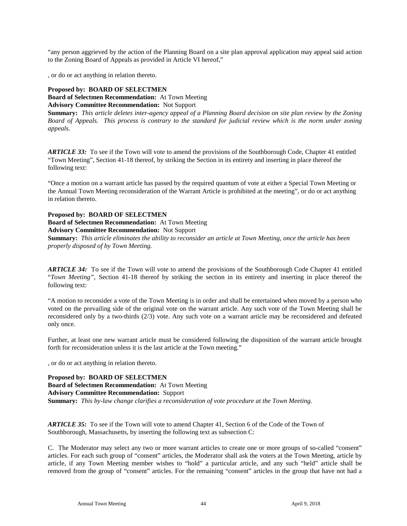"any person aggrieved by the action of the Planning Board on a site plan approval application may appeal said action to the Zoning Board of Appeals as provided in Article VI hereof,"

, or do or act anything in relation thereto.

#### **Proposed by: BOARD OF SELECTMEN**

**Board of Selectmen Recommendation:** At Town Meeting **Advisory Committee Recommendation:** Not Support

**Summary:** *This article deletes inter-agency appeal of a Planning Board decision on site plan review by the Zoning Board of Appeals. This process is contrary to the standard for judicial review which is the norm under zoning appeals.*

*ARTICLE 33:* To see if the Town will vote to amend the provisions of the Southborough Code, Chapter 41 entitled "Town Meeting", Section 41-18 thereof, by striking the Section in its entirety and inserting in place thereof the following text:

"Once a motion on a warrant article has passed by the required quantum of vote at either a Special Town Meeting or the Annual Town Meeting reconsideration of the Warrant Article is prohibited at the meeting", or do or act anything in relation thereto.

#### **Proposed by: BOARD OF SELECTMEN**

**Board of Selectmen Recommendation:** At Town Meeting **Advisory Committee Recommendation:** Not Support

**Summary:** *This article eliminates the ability to reconsider an article at Town Meeting, once the article has been properly disposed of by Town Meeting.*

*ARTICLE 34:* To see if the Town will vote to amend the provisions of the Southborough Code Chapter 41 entitled "*Town Meeting"*, Section 41-18 thereof by striking the section in its entirety and inserting in place thereof the following text:

"A motion to reconsider a vote of the Town Meeting is in order and shall be entertained when moved by a person who voted on the prevailing side of the original vote on the warrant article. Any such vote of the Town Meeting shall be reconsidered only by a two-thirds (2/3) vote. Any such vote on a warrant article may be reconsidered and defeated only once.

Further, at least one new warrant article must be considered following the disposition of the warrant article brought forth for reconsideration unless it is the last article at the Town meeting."

, or do or act anything in relation thereto.

**Proposed by: BOARD OF SELECTMEN Board of Selectmen Recommendation:** At Town Meeting **Advisory Committee Recommendation:** Support **Summary:** *This by-law change clarifies a reconsideration of vote procedure at the Town Meeting.*

*ARTICLE 35:* To see if the Town will vote to amend Chapter 41, Section 6 of the Code of the Town of Southborough, Massachusetts, by inserting the following text as subsection C:

C. The Moderator may select any two or more warrant articles to create one or more groups of so-called "consent" articles. For each such group of "consent" articles, the Moderator shall ask the voters at the Town Meeting, article by article, if any Town Meeting member wishes to "hold" a particular article, and any such "held" article shall be removed from the group of "consent" articles. For the remaining "consent" articles in the group that have not had a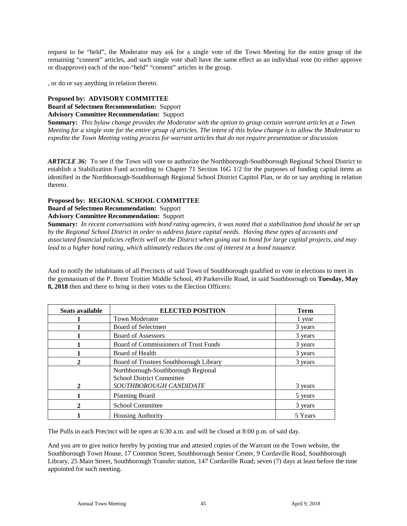request to be "held", the Moderator may ask for a single vote of the Town Meeting for the entire group of the remaining "consent" articles, and such single vote shall have the same effect as an individual vote (to either approve or disapprove) each of the non-"held" "consent" articles in the group.

, or do or say anything in relation thereto.

### **Proposed by: ADVISORY COMMITTEE**

**Board of Selectmen Recommendation:** Support **Advisory Committee Recommendation:** Support

**Summary:** *This bylaw change provides the Moderator with the option to group certain warrant articles at a Town Meeting for a single vote for the entire group of articles. The intent of this bylaw change is to allow the Moderator to expedite the Town Meeting voting process for warrant articles that do not require presentation or discussion.* 

*ARTICLE 36:* To see if the Town will vote to authorize the Northborough-Southborough Regional School District to establish a Stabilization Fund according to Chapter 71 Section 16G 1/2 for the purposes of funding capital items as identified in the Northborough-Southborough Regional School District Capitol Plan, or do or say anything in relation thereto.

#### **Proposed by: REGIONAL SCHOOL COMMITTEE**

#### **Board of Selectmen Recommendation:** Support

#### **Advisory Committee Recommendation:** Support

**Summary:** *In recent conversations with bond rating agencies, it was noted that a stabilization fund should be set up by the Regional School District in order to address future capital needs. Having these types of accounts and associated financial policies reflects well on the District when going out to bond for large capital projects, and may lead to a higher bond rating, which ultimately reduces the cost of interest in a bond issuance.* 

And to notify the inhabitants of all Precincts of said Town of Southborough qualified to vote in elections to meet in the gymnasium of the P. Brent Trottier Middle School, 49 Parkerville Road, in said Southborough on **Tuesday, May 8, 2018** then and there to bring in their votes to the Election Officers:

| Seats available | <b>ELECTED POSITION</b>                                                | <b>Term</b> |
|-----------------|------------------------------------------------------------------------|-------------|
|                 | <b>Town Moderator</b>                                                  | 1 year      |
|                 | Board of Selectmen                                                     | 3 years     |
|                 | <b>Board of Assessors</b>                                              | 3 years     |
|                 | Board of Commissioners of Trust Funds                                  | 3 years     |
|                 | Board of Health                                                        | 3 years     |
|                 | Board of Trustees Southborough Library                                 | 3 years     |
|                 | Northborough-Southborough Regional<br><b>School District Committee</b> |             |
| 2               | SOUTHBOROUGH CANDIDATE                                                 | 3 years     |
|                 | <b>Planning Board</b>                                                  | 5 years     |
|                 | <b>School Committee</b>                                                | 3 years     |
|                 | <b>Housing Authority</b>                                               | 5 Years     |

The Polls in each Precinct will be open at 6:30 a.m. and will be closed at 8:00 p.m. of said day.

And you are to give notice hereby by posting true and attested copies of the Warrant on the Town website, the Southborough Town House, 17 Common Street, Southborough Senior Center, 9 Cordaville Road, Southborough Library, 25 Main Street, Southborough Transfer station, 147 Cordaville Road; seven (7) days at least before the time appointed for such meeting.